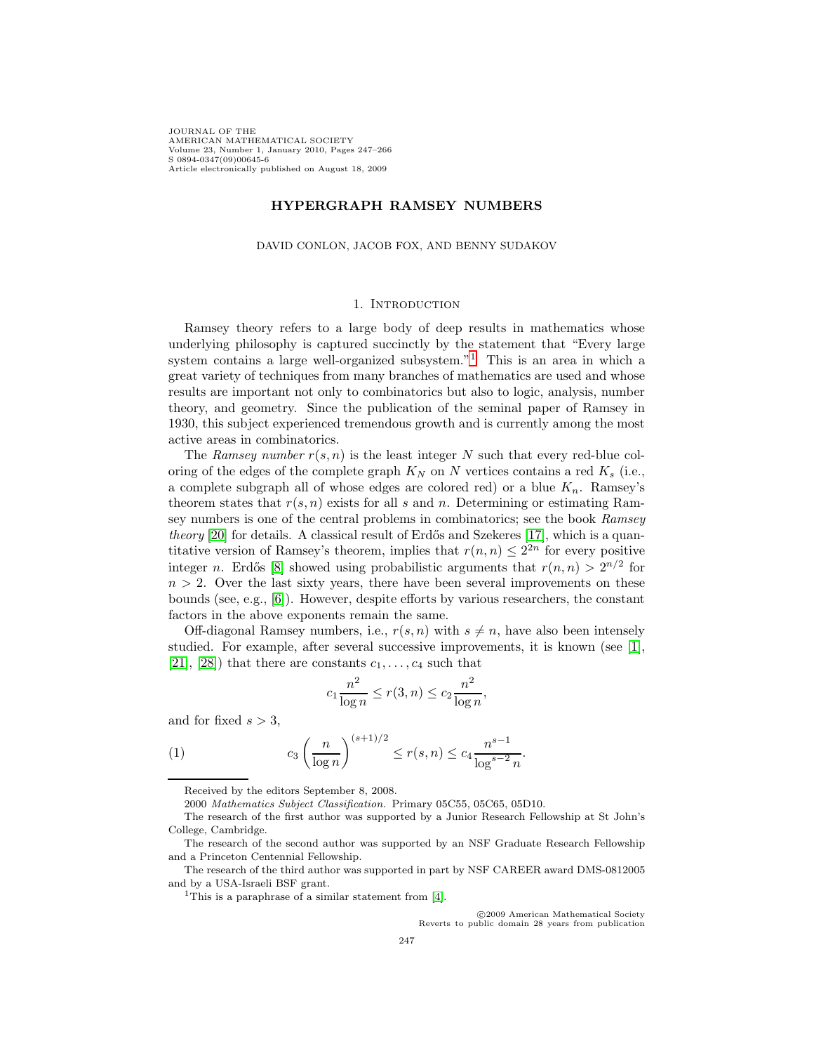JOURNAL OF THE AMERICAN MATHEMATICAL SOCIETY Volume 23, Number 1, January 2010, Pages 247–266 S 0894-0347(09)00645-6 Article electronically published on August 18, 2009

# **HYPERGRAPH RAMSEY NUMBERS**

#### DAVID CONLON, JACOB FOX, AND BENNY SUDAKOV

# 1. INTRODUCTION

Ramsey theory refers to a large body of deep results in mathematics whose underlying philosophy is captured succinctly by the statement that "Every large system contains a large well-organized subsystem.<sup>"[1](#page-0-0)</sup> This is an area in which a great variety of techniques from many branches of mathematics are used and whose results are important not only to combinatorics but also to logic, analysis, number theory, and geometry. Since the publication of the seminal paper of Ramsey in 1930, this subject experienced tremendous growth and is currently among the most active areas in combinatorics.

The Ramsey number  $r(s, n)$  is the least integer N such that every red-blue coloring of the edges of the complete graph  $K_N$  on N vertices contains a red  $K_s$  (i.e., a complete subgraph all of whose edges are colored red) or a blue  $K_n$ . Ramsey's theorem states that  $r(s, n)$  exists for all s and n. Determining or estimating Ramsey numbers is one of the central problems in combinatorics; see the book Ramsey theory  $[20]$  for details. A classical result of Erdős and Szekeres  $[17]$ , which is a quantitative version of Ramsey's theorem, implies that  $r(n, n) \leq 2^{2n}$  for every positive integer n. Erdős [\[8\]](#page-18-0) showed using probabilistic arguments that  $r(n, n) > 2^{n/2}$  for  $n > 2$ . Over the last sixty years, there have been several improvements on these bounds (see, e.g., [\[6\]](#page-18-1)). However, despite efforts by various researchers, the constant factors in the above exponents remain the same.

Off-diagonal Ramsey numbers, i.e.,  $r(s, n)$  with  $s \neq n$ , have also been intensely studied. For example, after several successive improvements, it is known (see [\[1\]](#page-18-2), [\[21\]](#page-19-2), [\[28\]](#page-19-3)) that there are constants  $c_1, \ldots, c_4$  such that

$$
c_1 \frac{n^2}{\log n} \le r(3, n) \le c_2 \frac{n^2}{\log n},
$$

<span id="page-0-1"></span>and for fixed  $s > 3$ ,

(1) 
$$
c_3 \left(\frac{n}{\log n}\right)^{(s+1)/2} \le r(s,n) \le c_4 \frac{n^{s-1}}{\log^{s-2} n}.
$$

c 2009 American Mathematical Society Reverts to public domain 28 years from publication

Received by the editors September 8, 2008.

<sup>2000</sup> Mathematics Subject Classification. Primary 05C55, 05C65, 05D10.

The research of the first author was supported by a Junior Research Fellowship at St John's College, Cambridge.

The research of the second author was supported by an NSF Graduate Research Fellowship and a Princeton Centennial Fellowship.

<span id="page-0-0"></span>The research of the third author was supported in part by NSF CAREER award DMS-0812005 and by a USA-Israeli BSF grant.

<sup>1</sup>This is a paraphrase of a similar statement from [\[4\]](#page-18-3).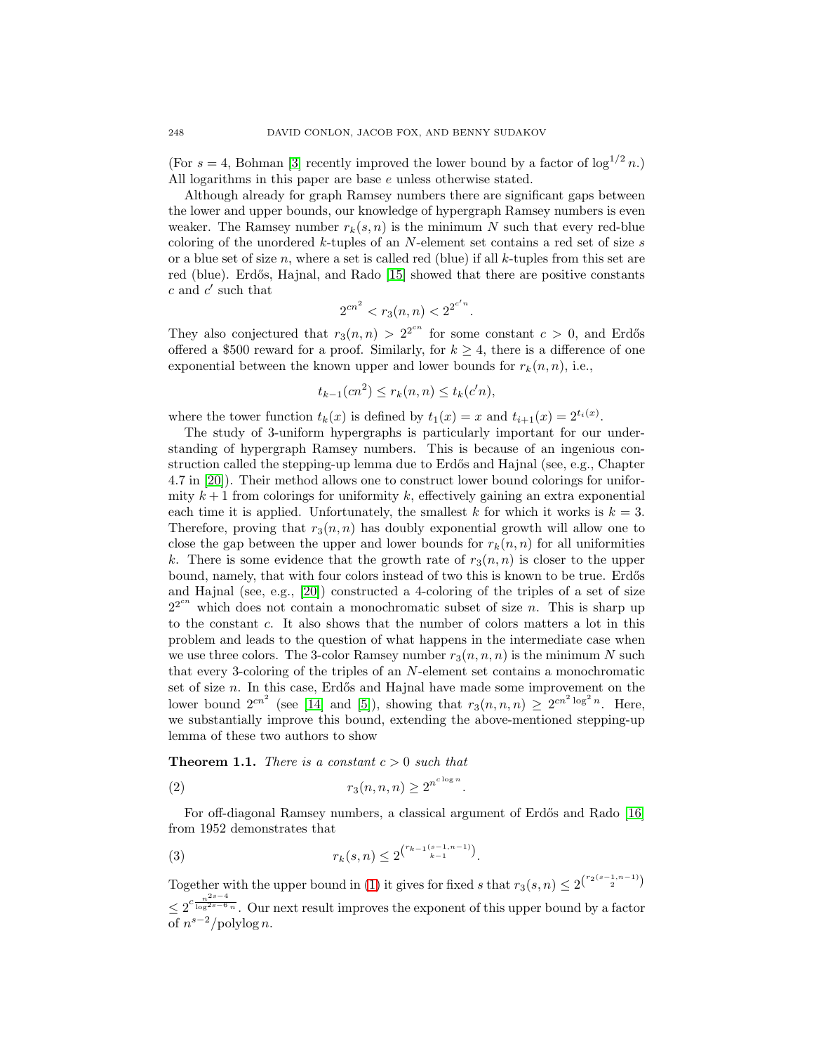(For  $s = 4$ , Bohman [\[3\]](#page-18-4) recently improved the lower bound by a factor of  $\log^{1/2} n$ .) All logarithms in this paper are base e unless otherwise stated.

Although already for graph Ramsey numbers there are significant gaps between the lower and upper bounds, our knowledge of hypergraph Ramsey numbers is even weaker. The Ramsey number  $r_k(s, n)$  is the minimum N such that every red-blue coloring of the unordered k-tuples of an N-element set contains a red set of size s or a blue set of size  $n$ , where a set is called red (blue) if all  $k$ -tuples from this set are red (blue). Erdős, Hajnal, and Rado [\[15\]](#page-19-4) showed that there are positive constants  $c$  and  $c'$  such that

$$
2^{cn^2} < r_3(n, n) < 2^{2^{c'n}}.
$$

They also conjectured that  $r_3(n, n) > 2^{2^{cn}}$  for some constant  $c > 0$ , and Erdős offered a \$500 reward for a proof. Similarly, for  $k \geq 4$ , there is a difference of one exponential between the known upper and lower bounds for  $r_k(n, n)$ , i.e.,

$$
t_{k-1}(cn^2) \le r_k(n,n) \le t_k(c'n),
$$

where the tower function  $t_k(x)$  is defined by  $t_1(x) = x$  and  $t_{i+1}(x) = 2^{t_i(x)}$ .

The study of 3-uniform hypergraphs is particularly important for our understanding of hypergraph Ramsey numbers. This is because of an ingenious construction called the stepping-up lemma due to Erdős and Hajnal (see, e.g., Chapter 4.7 in [\[20\]](#page-19-0)). Their method allows one to construct lower bound colorings for uniformity  $k+1$  from colorings for uniformity k, effectively gaining an extra exponential each time it is applied. Unfortunately, the smallest k for which it works is  $k = 3$ . Therefore, proving that  $r_3(n, n)$  has doubly exponential growth will allow one to close the gap between the upper and lower bounds for  $r_k(n, n)$  for all uniformities k. There is some evidence that the growth rate of  $r_3(n,n)$  is closer to the upper bound, namely, that with four colors instead of two this is known to be true. Erdős and Hajnal (see, e.g., [\[20\]](#page-19-0)) constructed a 4-coloring of the triples of a set of size  $2^{2^{cn}}$  which does not contain a monochromatic subset of size n. This is sharp up to the constant c. It also shows that the number of colors matters a lot in this problem and leads to the question of what happens in the intermediate case when we use three colors. The 3-color Ramsey number  $r_3(n, n, n)$  is the minimum N such that every 3-coloring of the triples of an N-element set contains a monochromatic set of size  $n$ . In this case, Erdős and Hajnal have made some improvement on the lower bound  $2^{cn^2}$  (see [\[14\]](#page-18-5) and [\[5\]](#page-18-6)), showing that  $r_3(n, n, n) \ge 2^{cn^2 \log^2 n}$ . Here, we substantially improve this bound, extending the above-mentioned stepping-up lemma of these two authors to show

<span id="page-1-2"></span>**Theorem 1.1.** There is a constant  $c > 0$  such that

$$
(2) \t\t\t r_3(n,n,n) \ge 2^{n^{c \log n}}
$$

<span id="page-1-0"></span>For off-diagonal Ramsey numbers, a classical argument of Erdős and Rado [\[16\]](#page-19-5) from 1952 demonstrates that

.

(3) 
$$
r_k(s,n) \leq 2^{\binom{r_{k-1}(s-1,n-1)}{k-1}}.
$$

<span id="page-1-1"></span>Together with the upper bound in [\(1\)](#page-0-1) it gives for fixed s that  $r_3(s, n) \leq 2^{\binom{r_2(s-1, n-1)}{2}}$  $\leq 2^{c \frac{n^{2s-4}}{\log^{2s-6} n}}$ . Our next result improves the exponent of this upper bound by a factor of  $n^{s-2}/p$ olylog n.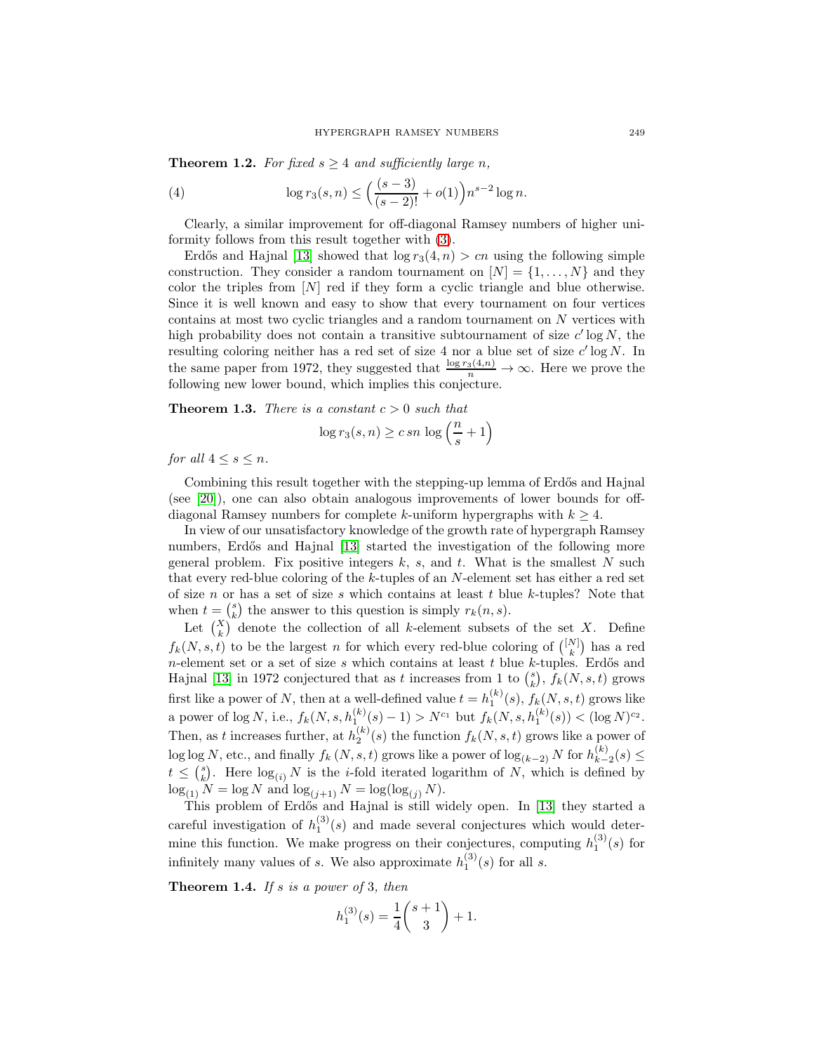<span id="page-2-1"></span>**Theorem 1.2.** For fixed  $s \geq 4$  and sufficiently large n,

(4) 
$$
\log r_3(s,n) \le \left(\frac{(s-3)}{(s-2)!} + o(1)\right) n^{s-2} \log n.
$$

Clearly, a similar improvement for off-diagonal Ramsey numbers of higher uniformity follows from this result together with [\(3\)](#page-1-0).

Erdős and Hajnal [\[13\]](#page-18-7) showed that  $\log r_3(4, n) > cn$  using the following simple construction. They consider a random tournament on  $[N] = \{1, \ldots, N\}$  and they color the triples from  $[N]$  red if they form a cyclic triangle and blue otherwise. Since it is well known and easy to show that every tournament on four vertices contains at most two cyclic triangles and a random tournament on N vertices with high probability does not contain a transitive subtournament of size  $c' \log N$ , the resulting coloring neither has a red set of size 4 nor a blue set of size  $c' \log N$ . In the same paper from 1972, they suggested that  $\frac{\log r_3(4,n)}{n} \to \infty$ . Here we prove the following new lower bound, which implies this conjecture.

<span id="page-2-2"></span>**Theorem 1.3.** There is a constant  $c > 0$  such that

$$
\log r_3(s, n) \geq c \, sn \, \log \left( \frac{n}{s} + 1 \right)
$$

for all  $4 \leq s \leq n$ .

Combining this result together with the stepping-up lemma of Erdős and Hajnal (see [\[20\]](#page-19-0)), one can also obtain analogous improvements of lower bounds for offdiagonal Ramsey numbers for complete k-uniform hypergraphs with  $k \geq 4$ .

In view of our unsatisfactory knowledge of the growth rate of hypergraph Ramsey numbers, Erdős and Hajnal [\[13\]](#page-18-7) started the investigation of the following more general problem. Fix positive integers  $k$ ,  $s$ , and  $t$ . What is the smallest  $N$  such that every red-blue coloring of the k-tuples of an N-element set has either a red set of size n or has a set of size s which contains at least t blue k-tuples? Note that when  $t = \binom{s}{k}$  the answer to this question is simply  $r_k(n, s)$ .

Let  $\binom{X}{k}$  denote the collection of all k-element subsets of the set X. Define  $f_k(N, s, t)$  to be the largest n for which every red-blue coloring of  $\binom{[N]}{k}$  has a red n-element set or a set of size  $s$  which contains at least  $t$  blue  $k$ -tuples. Erdős and Hajnal [\[13\]](#page-18-7) in 1972 conjectured that as t increases from 1 to  $\binom{s}{k}$ ,  $f_k(N, s, t)$  grows first like a power of N, then at a well-defined value  $t = h_1^{(k)}(s)$ ,  $f_k(N, s, t)$  grows like a power of  $\log N$ , i.e.,  $f_k(N, s, h_1^{(k)}(s) - 1) > N^{c_1}$  but  $f_k(N, s, h_1^{(k)}(s)) < (\log N)^{c_2}$ . Then, as t increases further, at  $h_2^{(k)}(s)$  the function  $f_k(N, s, t)$  grows like a power of  $\log \log N$ , etc., and finally  $f_k(N, s, t)$  grows like a power of  $\log_{(k-2)} N$  for  $h_{k-2}^{(k)}(s) \le$  $t \leq {s \choose k}$ . Here  $\log_{(i)} N$  is the *i*-fold iterated logarithm of N, which is defined by  $\log_{(1)} N = \log N$  and  $\log_{(j+1)} N = \log(\log_{(j)} N)$ .

This problem of Erdős and Hajnal is still widely open. In [\[13\]](#page-18-7) they started a careful investigation of  $h_1^{(3)}(s)$  and made several conjectures which would determine this function. We make progress on their conjectures, computing  $h_1^{(3)}(s)$  for infinitely many values of s. We also approximate  $h_1^{(3)}(s)$  for all s.

<span id="page-2-0"></span>**Theorem 1.4.** If s is a power of 3, then

$$
h_1^{(3)}(s) = \frac{1}{4} \binom{s+1}{3} + 1.
$$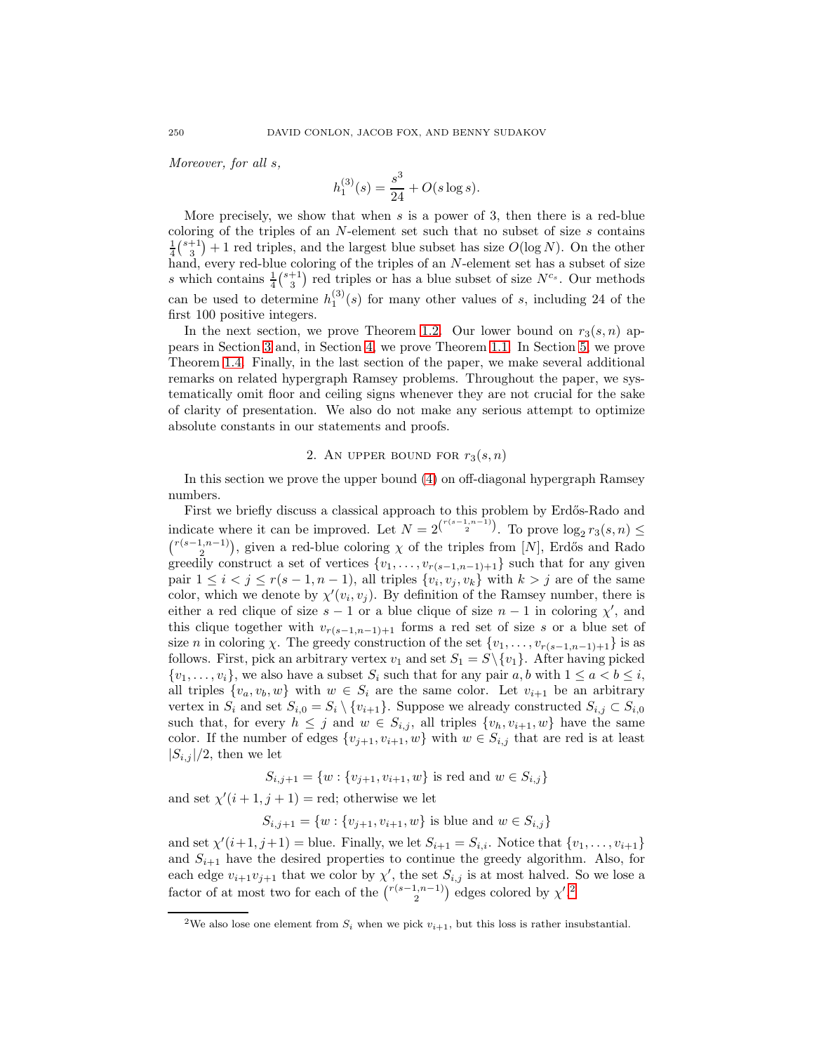Moreover, for all s,

$$
h_1^{(3)}(s) = \frac{s^3}{24} + O(s \log s).
$$

More precisely, we show that when  $s$  is a power of 3, then there is a red-blue coloring of the triples of an  $N$ -element set such that no subset of size  $s$  contains  $\frac{1}{4} {s+1 \choose 3} + 1$  red triples, and the largest blue subset has size  $O(\log N)$ . On the other hand, every red-blue coloring of the triples of an N-element set has a subset of size s which contains  $\frac{1}{4}$  $\binom{s+1}{3}$  red triples or has a blue subset of size  $N^{c_s}$ . Our methods can be used to determine  $h_1^{(3)}(s)$  for many other values of s, including 24 of the first 100 positive integers.

In the next section, we prove Theorem [1.2.](#page-1-1) Our lower bound on  $r_3(s, n)$  appears in Section [3](#page-8-0) and, in Section [4,](#page-10-0) we prove Theorem [1.1.](#page-1-2) In Section [5,](#page-12-0) we prove Theorem [1.4.](#page-2-0) Finally, in the last section of the paper, we make several additional remarks on related hypergraph Ramsey problems. Throughout the paper, we systematically omit floor and ceiling signs whenever they are not crucial for the sake of clarity of presentation. We also do not make any serious attempt to optimize absolute constants in our statements and proofs.

# 2. AN UPPER BOUND FOR  $r_3(s, n)$

<span id="page-3-1"></span>In this section we prove the upper bound [\(4\)](#page-2-1) on off-diagonal hypergraph Ramsey numbers.

First we briefly discuss a classical approach to this problem by Erdős-Rado and indicate where it can be improved. Let  $N = 2^{r(s-1,n-1) \choose 2}$ . To prove  $\log_2 r_3(s,n) \le$  $\binom{r(s-1,n-1)}{2}$ , given a red-blue coloring  $\chi$  of the triples from [N], Erdős and Rado greedily construct a set of vertices  $\{v_1,\ldots,v_{r(s-1,n-1)+1}\}\$  such that for any given pair  $1 \leq i < j \leq r(s-1, n-1)$ , all triples  $\{v_i, v_j, v_k\}$  with  $k > j$  are of the same color, which we denote by  $\chi'(v_i, v_j)$ . By definition of the Ramsey number, there is either a red clique of size  $s - 1$  or a blue clique of size  $n - 1$  in coloring  $\chi'$ , and this clique together with  $v_{r(s-1,n-1)+1}$  forms a red set of size s or a blue set of size *n* in coloring *χ*. The greedy construction of the set  $\{v_1, \ldots, v_{r(s-1,n-1)+1}\}\$ is as follows. First, pick an arbitrary vertex  $v_1$  and set  $S_1 = S \setminus \{v_1\}$ . After having picked  $\{v_1,\ldots,v_i\}$ , we also have a subset  $S_i$  such that for any pair  $a, b$  with  $1 \le a < b \le i$ , all triples  $\{v_a, v_b, w\}$  with  $w \in S_i$  are the same color. Let  $v_{i+1}$  be an arbitrary vertex in  $S_i$  and set  $S_{i,0} = S_i \setminus \{v_{i+1}\}\$ . Suppose we already constructed  $S_{i,j} \subset S_{i,0}$ such that, for every  $h \leq j$  and  $w \in S_{i,j}$ , all triples  $\{v_h, v_{i+1}, w\}$  have the same color. If the number of edges  $\{v_{j+1}, v_{i+1}, w\}$  with  $w \in S_{i,j}$  that are red is at least  $|S_{i,j}|/2$ , then we let

$$
S_{i,j+1} = \{w : \{v_{j+1}, v_{i+1}, w\} \text{ is red and } w \in S_{i,j}\}\
$$

and set  $\chi'(i+1, j+1) = \text{red}$ ; otherwise we let

$$
S_{i,j+1} = \{w : \{v_{j+1}, v_{i+1}, w\}
$$
 is blue and  $w \in S_{i,j}\}$ 

and set  $\chi'(i+1, j+1)$  = blue. Finally, we let  $S_{i+1} = S_{i,i}$ . Notice that  $\{v_1, \ldots, v_{i+1}\}$ and  $S_{i+1}$  have the desired properties to continue the greedy algorithm. Also, for each edge  $v_{i+1}v_{j+1}$  that we color by  $\chi'$ , the set  $S_{i,j}$  is at most halved. So we lose a factor of at most two for each of the  $\binom{r(s-1,n-1)}{2}$  $\binom{r(s-1,n-1)}{2}$  $\binom{r(s-1,n-1)}{2}$  edges colored by  $\chi'$ .<sup>2</sup>

<span id="page-3-0"></span><sup>&</sup>lt;sup>2</sup>We also lose one element from  $S_i$  when we pick  $v_{i+1}$ , but this loss is rather insubstantial.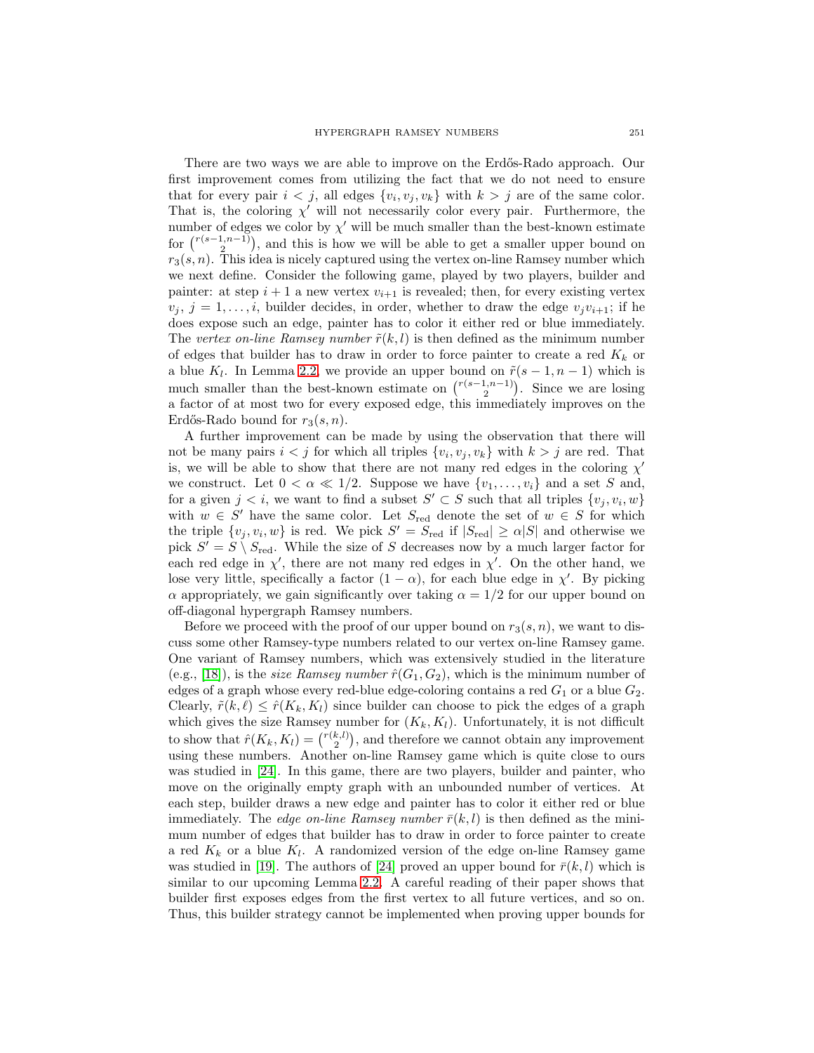There are two ways we are able to improve on the Erd˝os-Rado approach. Our first improvement comes from utilizing the fact that we do not need to ensure that for every pair  $i < j$ , all edges  $\{v_i, v_j, v_k\}$  with  $k > j$  are of the same color. That is, the coloring  $\chi'$  will not necessarily color every pair. Furthermore, the number of edges we color by  $\chi'$  will be much smaller than the best-known estimate for  $\binom{r(s-1,n-1)}{2}$ , and this is how we will be able to get a smaller upper bound on  $r_3(s, n)$ . This idea is nicely captured using the vertex on-line Ramsey number which we next define. Consider the following game, played by two players, builder and painter: at step  $i + 1$  a new vertex  $v_{i+1}$  is revealed; then, for every existing vertex  $v_j, j = 1, \ldots, i$ , builder decides, in order, whether to draw the edge  $v_jv_{i+1}$ ; if he does expose such an edge, painter has to color it either red or blue immediately. The vertex on-line Ramsey number  $\tilde{r}(k,l)$  is then defined as the minimum number of edges that builder has to draw in order to force painter to create a red  $K_k$  or a blue K<sub>l</sub>. In Lemma [2.2,](#page-6-0) we provide an upper bound on  $\tilde{r}(s-1,n-1)$  which is much smaller than the best-known estimate on  $\binom{r(s-1,n-1)}{2}$ . Since we are losing a factor of at most two for every exposed edge, this immediately improves on the Erdős-Rado bound for  $r_3(s, n)$ .

A further improvement can be made by using the observation that there will not be many pairs  $i < j$  for which all triples  $\{v_i, v_j, v_k\}$  with  $k > j$  are red. That is, we will be able to show that there are not many red edges in the coloring  $\chi'$ we construct. Let  $0 < \alpha \ll 1/2$ . Suppose we have  $\{v_1, \ldots, v_i\}$  and a set S and, for a given  $j < i$ , we want to find a subset  $S' \subset S$  such that all triples  $\{v_i, v_i, w\}$ with  $w \in S'$  have the same color. Let  $S_{red}$  denote the set of  $w \in S$  for which the triple  $\{v_j, v_i, w\}$  is red. We pick  $S' = S_{\text{red}}$  if  $|S_{\text{red}}| \geq \alpha |S|$  and otherwise we pick  $S' = S \setminus S_{\text{red}}$ . While the size of S decreases now by a much larger factor for each red edge in  $\chi'$ , there are not many red edges in  $\chi'$ . On the other hand, we lose very little, specifically a factor  $(1 - \alpha)$ , for each blue edge in  $\chi'$ . By picking  $\alpha$  appropriately, we gain significantly over taking  $\alpha = 1/2$  for our upper bound on off-diagonal hypergraph Ramsey numbers.

Before we proceed with the proof of our upper bound on  $r_3(s, n)$ , we want to discuss some other Ramsey-type numbers related to our vertex on-line Ramsey game. One variant of Ramsey numbers, which was extensively studied in the literature (e.g., [\[18\]](#page-19-6)), is the *size Ramsey number*  $\hat{r}(G_1, G_2)$ , which is the minimum number of edges of a graph whose every red-blue edge-coloring contains a red  $G_1$  or a blue  $G_2$ . Clearly,  $\tilde{r}(k, \ell) \leq \hat{r}(K_k, K_l)$  since builder can choose to pick the edges of a graph which gives the size Ramsey number for  $(K_k, K_l)$ . Unfortunately, it is not difficult to show that  $\hat{r}(K_k, K_l) = \binom{r(k,l)}{2}$ , and therefore we cannot obtain any improvement using these numbers. Another on-line Ramsey game which is quite close to ours was studied in [\[24\]](#page-19-7). In this game, there are two players, builder and painter, who move on the originally empty graph with an unbounded number of vertices. At each step, builder draws a new edge and painter has to color it either red or blue immediately. The edge on-line Ramsey number  $\bar{r}(k, l)$  is then defined as the minimum number of edges that builder has to draw in order to force painter to create a red  $K_k$  or a blue  $K_l$ . A randomized version of the edge on-line Ramsey game was studied in [\[19\]](#page-19-8). The authors of [\[24\]](#page-19-7) proved an upper bound for  $\bar{r}(k,l)$  which is similar to our upcoming Lemma [2.2.](#page-6-0) A careful reading of their paper shows that builder first exposes edges from the first vertex to all future vertices, and so on. Thus, this builder strategy cannot be implemented when proving upper bounds for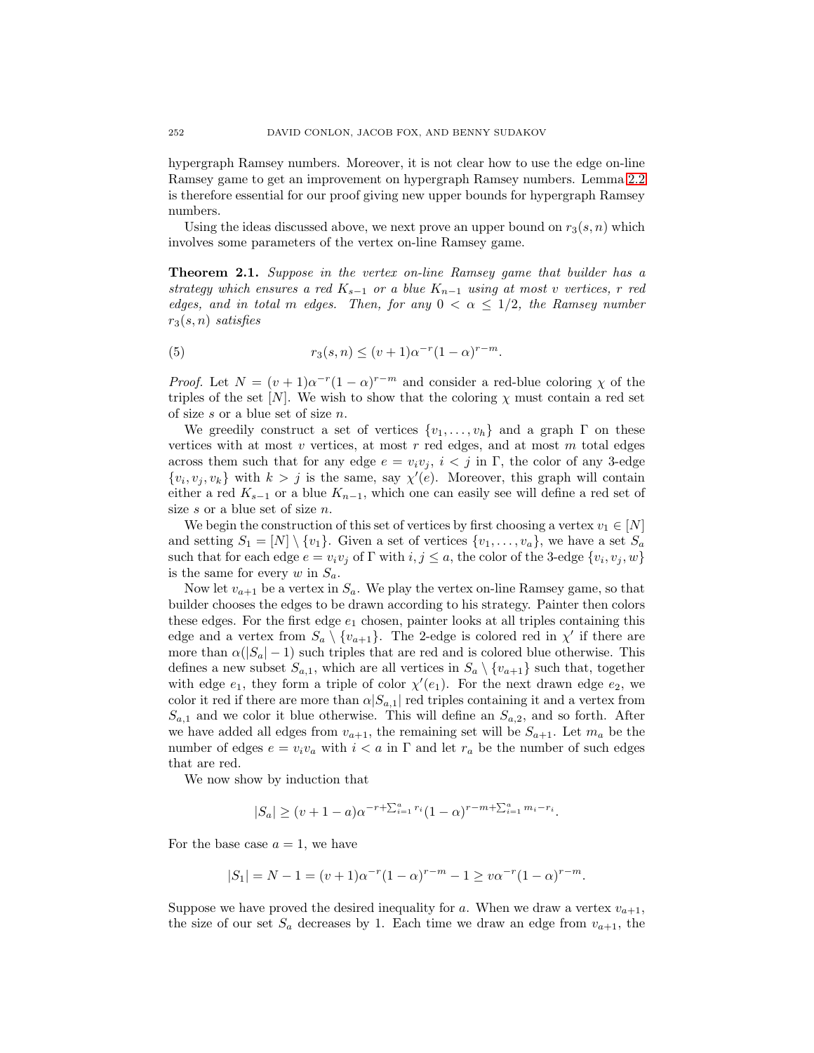hypergraph Ramsey numbers. Moreover, it is not clear how to use the edge on-line Ramsey game to get an improvement on hypergraph Ramsey numbers. Lemma [2.2](#page-6-0) is therefore essential for our proof giving new upper bounds for hypergraph Ramsey numbers.

<span id="page-5-0"></span>Using the ideas discussed above, we next prove an upper bound on  $r_3(s, n)$  which involves some parameters of the vertex on-line Ramsey game.

**Theorem 2.1.** Suppose in the vertex on-line Ramsey game that builder has a strategy which ensures a red  $K_{s-1}$  or a blue  $K_{n-1}$  using at most v vertices, r red edges, and in total m edges. Then, for any  $0 < \alpha \leq 1/2$ , the Ramsey number  $r_3(s, n)$  satisfies

(5) 
$$
r_3(s,n) \le (v+1)\alpha^{-r}(1-\alpha)^{r-m}.
$$

*Proof.* Let  $N = (v + 1)\alpha^{-r}(1 - \alpha)^{r-m}$  and consider a red-blue coloring  $\chi$  of the triples of the set [N]. We wish to show that the coloring  $\chi$  must contain a red set of size s or a blue set of size n.

We greedily construct a set of vertices  $\{v_1,\ldots,v_h\}$  and a graph  $\Gamma$  on these vertices with at most  $v$  vertices, at most  $r$  red edges, and at most  $m$  total edges across them such that for any edge  $e = v_i v_j$ ,  $i < j$  in Γ, the color of any 3-edge  $\{v_i, v_j, v_k\}$  with  $k > j$  is the same, say  $\chi'(e)$ . Moreover, this graph will contain either a red  $K_{s-1}$  or a blue  $K_{n-1}$ , which one can easily see will define a red set of size s or a blue set of size  $n$ .

We begin the construction of this set of vertices by first choosing a vertex  $v_1 \in [N]$ and setting  $S_1 = [N] \setminus \{v_1\}$ . Given a set of vertices  $\{v_1, \ldots, v_a\}$ , we have a set  $S_a$ such that for each edge  $e = v_i v_j$  of  $\Gamma$  with  $i, j \leq a$ , the color of the 3-edge  $\{v_i, v_j, w\}$ is the same for every  $w$  in  $S_a$ .

Now let  $v_{a+1}$  be a vertex in  $S_a$ . We play the vertex on-line Ramsey game, so that builder chooses the edges to be drawn according to his strategy. Painter then colors these edges. For the first edge  $e_1$  chosen, painter looks at all triples containing this edge and a vertex from  $S_a \setminus \{v_{a+1}\}.$  The 2-edge is colored red in  $\chi'$  if there are more than  $\alpha(|S_a|-1)$  such triples that are red and is colored blue otherwise. This defines a new subset  $S_{a,1}$ , which are all vertices in  $S_a \setminus \{v_{a+1}\}\$  such that, together with edge  $e_1$ , they form a triple of color  $\chi'(e_1)$ . For the next drawn edge  $e_2$ , we color it red if there are more than  $\alpha |S_{a,1}|$  red triples containing it and a vertex from  $S_{a,1}$  and we color it blue otherwise. This will define an  $S_{a,2}$ , and so forth. After we have added all edges from  $v_{a+1}$ , the remaining set will be  $S_{a+1}$ . Let  $m_a$  be the number of edges  $e = v_i v_a$  with  $i < a$  in  $\Gamma$  and let  $r_a$  be the number of such edges that are red.

We now show by induction that

$$
|S_a| \ge (v+1-a)\alpha^{-r+\sum_{i=1}^a r_i} (1-\alpha)^{r-m+\sum_{i=1}^a m_i - r_i}.
$$

For the base case  $a = 1$ , we have

$$
|S_1| = N - 1 = (v + 1)\alpha^{-r}(1 - \alpha)^{r - m} - 1 \ge v\alpha^{-r}(1 - \alpha)^{r - m}.
$$

Suppose we have proved the desired inequality for a. When we draw a vertex  $v_{a+1}$ , the size of our set  $S_a$  decreases by 1. Each time we draw an edge from  $v_{a+1}$ , the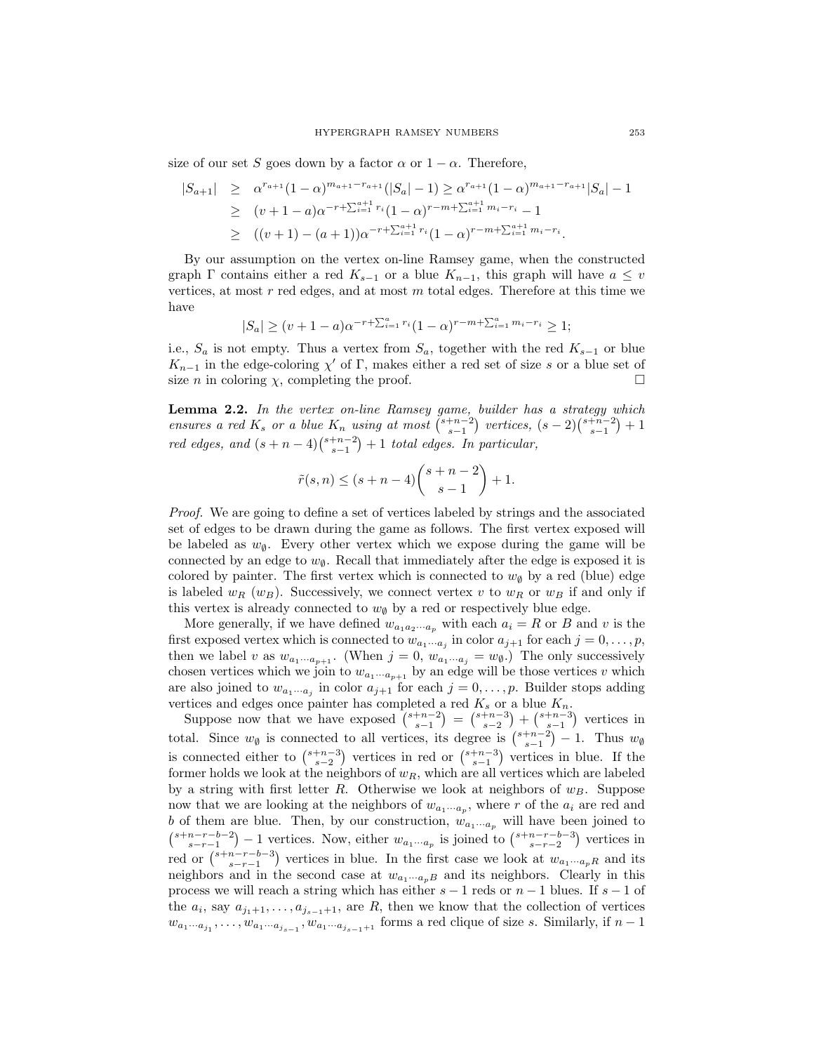size of our set S goes down by a factor  $\alpha$  or  $1 - \alpha$ . Therefore,

$$
|S_{a+1}| \geq \alpha^{r_{a+1}} (1-\alpha)^{m_{a+1}-r_{a+1}} (|S_a|-1) \geq \alpha^{r_{a+1}} (1-\alpha)^{m_{a+1}-r_{a+1}} |S_a|-1
$$
  
\n
$$
\geq (v+1-a)\alpha^{-r+\sum_{i=1}^{a+1} r_i} (1-\alpha)^{r-m+\sum_{i=1}^{a+1} m_i-r_i} - 1
$$
  
\n
$$
\geq ((v+1)-(a+1))\alpha^{-r+\sum_{i=1}^{a+1} r_i} (1-\alpha)^{r-m+\sum_{i=1}^{a+1} m_i-r_i}.
$$

By our assumption on the vertex on-line Ramsey game, when the constructed graph  $\Gamma$  contains either a red  $K_{s-1}$  or a blue  $K_{n-1}$ , this graph will have  $a \leq v$ vertices, at most  $r$  red edges, and at most  $m$  total edges. Therefore at this time we have

$$
|S_a| \ge (v+1-a)\alpha^{-r+\sum_{i=1}^a r_i} (1-\alpha)^{r-m+\sum_{i=1}^a m_i - r_i} \ge 1;
$$

i.e.,  $S_a$  is not empty. Thus a vertex from  $S_a$ , together with the red  $K_{s-1}$  or blue  $K_{n-1}$  in the edge-coloring  $\chi'$  of Γ, makes either a red set of size s or a blue set of size *n* in coloring  $\chi$ , completing the proof.

<span id="page-6-0"></span>**Lemma 2.2.** In the vertex on-line Ramsey game, builder has a strategy which ensures a red  $K_s$  or a blue  $K_n$  using at most  $\binom{s+n-2}{s-1}$  vertices,  $(s-2)\binom{s+n-2}{s-1}+1$ red edges, and  $(s + n - 4){s+n-2 \choose s-1} + 1$  total edges. In particular,

$$
\tilde{r}(s,n) \le (s+n-4)\binom{s+n-2}{s-1} + 1.
$$

Proof. We are going to define a set of vertices labeled by strings and the associated set of edges to be drawn during the game as follows. The first vertex exposed will be labeled as  $w_{\emptyset}$ . Every other vertex which we expose during the game will be connected by an edge to  $w_{\emptyset}$ . Recall that immediately after the edge is exposed it is colored by painter. The first vertex which is connected to  $w_{\emptyset}$  by a red (blue) edge is labeled  $w_R$  (w<sub>B</sub>). Successively, we connect vertex v to  $w_R$  or  $w_B$  if and only if this vertex is already connected to  $w_{\emptyset}$  by a red or respectively blue edge.

More generally, if we have defined  $w_{a_1a_2\cdots a_p}$  with each  $a_i = R$  or B and v is the first exposed vertex which is connected to  $w_{a_1\cdots a_j}$  in color  $a_{j+1}$  for each  $j = 0, \ldots, p$ , then we label v as  $w_{a_1\cdots a_{p+1}}$ . (When  $j=0$ ,  $w_{a_1\cdots a_j}=w_{\emptyset}$ .) The only successively chosen vertices which we join to  $w_{a_1\cdots a_{p+1}}$  by an edge will be those vertices v which are also joined to  $w_{a_1\cdots a_j}$  in color  $a_{j+1}$  for each  $j = 0, \ldots, p$ . Builder stops adding vertices and edges once painter has completed a red  $K_s$  or a blue  $K_n$ .

Suppose now that we have exposed  $\binom{s+n-2}{s-1} = \binom{s+n-3}{s-2} + \binom{s+n-3}{s-1}$  vertices in total. Since  $w_{\emptyset}$  is connected to all vertices, its degree is  $\binom{s+n-2}{s-1} - 1$ . Thus  $w_{\emptyset}$ is connected either to  $\binom{s+n-3}{s-2}$  vertices in red or  $\binom{s+n-3}{s-1}$  vertices in blue. If the former holds we look at the neighbors of  $w_R$ , which are all vertices which are labeled by a string with first letter R. Otherwise we look at neighbors of  $w_B$ . Suppose now that we are looking at the neighbors of  $w_{a_1\cdots a_p}$ , where r of the  $a_i$  are red and b of them are blue. Then, by our construction,  $w_{a_1\cdots a_p}$  will have been joined to  $\binom{s+n-r-b-2}{s-r-1}-1$  vertices. Now, either  $w_{a_1\cdots a_p}$  is joined to  $\binom{s+n-r-b-3}{s-r-2}$  vertices in red or  ${s+n-r-b-3 \choose s-r-1}$  vertices in blue. In the first case we look at  $w_{a_1\cdots a_pR}$  and its neighbors and in the second case at  $w_{a_1\cdots a_pB}$  and its neighbors. Clearly in this process we will reach a string which has either  $s - 1$  reds or  $n - 1$  blues. If  $s - 1$  of the  $a_i$ , say  $a_{j_1+1},...,a_{j_{s-1}+1}$ , are  $R$ , then we know that the collection of vertices  $w_{a_1\cdots a_{j_1}},\ldots,w_{a_1\cdots a_{j_{s-1}}},w_{a_1\cdots a_{j_{s-1}+1}}$  forms a red clique of size s. Similarly, if  $n-1$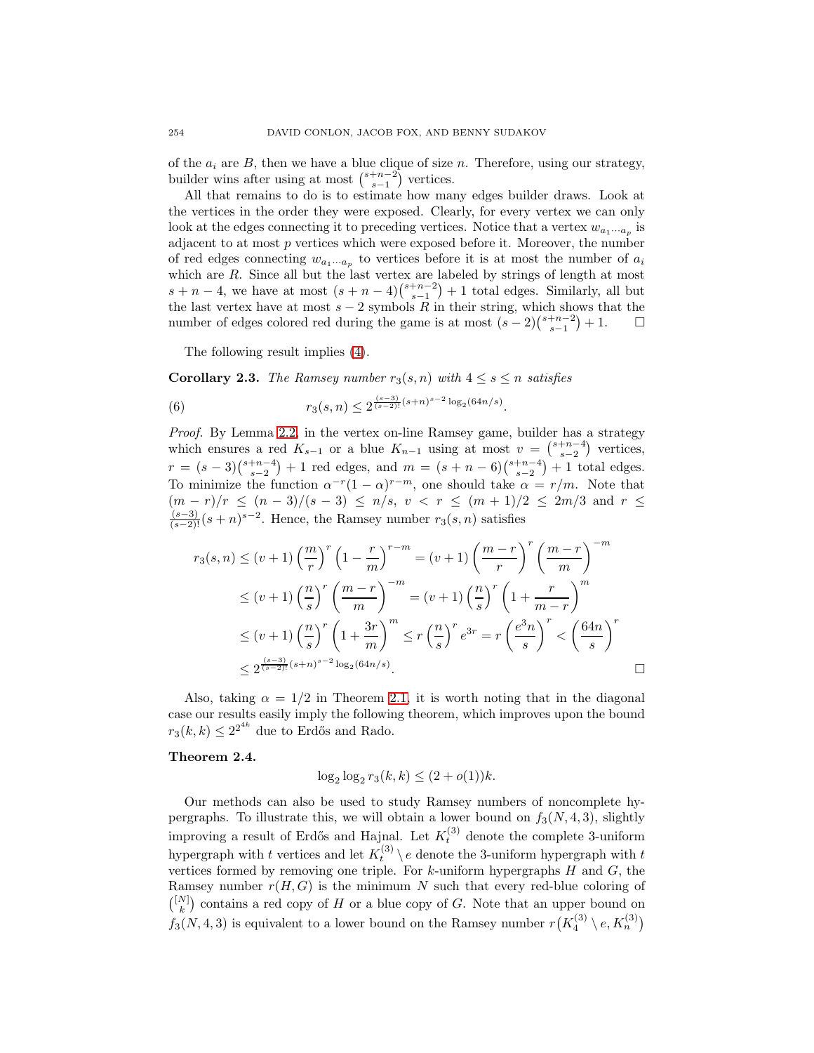of the  $a_i$  are B, then we have a blue clique of size n. Therefore, using our strategy, builder wins after using at most  $\binom{s+n-2}{s-1}$  vertices.

All that remains to do is to estimate how many edges builder draws. Look at the vertices in the order they were exposed. Clearly, for every vertex we can only look at the edges connecting it to preceding vertices. Notice that a vertex  $w_{a_1\cdots a_n}$  is adjacent to at most  $p$  vertices which were exposed before it. Moreover, the number of red edges connecting  $w_{a_1\cdots a_p}$  to vertices before it is at most the number of  $a_i$ which are R. Since all but the last vertex are labeled by strings of length at most  $s + n - 4$ , we have at most  $(s + n - 4){s+n-2 \choose s-1} + 1$  total edges. Similarly, all but the last vertex have at most  $s - 2$  symbols  $\overrightarrow{R}$  in their string, which shows that the number of edges colored red during the game is at most  $(s-2)\binom{s+n-2}{s-1}+1$ . □

The following result implies [\(4\)](#page-2-1).

**Corollary 2.3.** The Ramsey number  $r_3(s, n)$  with  $4 \leq s \leq n$  satisfies

(6) 
$$
r_3(s,n) \leq 2^{\frac{(s-3)}{(s-2)!}(s+n)^{s-2}\log_2(64n/s)}.
$$

Proof. By Lemma [2.2,](#page-6-0) in the vertex on-line Ramsey game, builder has a strategy which ensures a red  $K_{s-1}$  or a blue  $K_{n-1}$  using at most  $v = \binom{s+n-4}{s-2}$  vertices,  $r = (s-3)\binom{s+n-4}{s-2} + 1$  red edges, and  $m = (s+n-6)\binom{s+n-4}{s-2} + 1$  total edges. To minimize the function  $\alpha^{-r}(1-\alpha)^{r-m}$ , one should take  $\alpha = r/m$ . Note that  $(m - r)/r$  ≤  $(n - 3)/(s - 3)$  ≤  $n/s$ ,  $v$  <  $r$  ≤  $(m + 1)/2$  ≤  $2m/3$  and  $r$  ≤  $\frac{(s-3)}{(s-2)!}(s+n)^{s-2}$ . Hence, the Ramsey number  $r_3(s,n)$  satisfies

$$
r_3(s,n) \le (v+1) \left(\frac{m}{r}\right)^r \left(1 - \frac{r}{m}\right)^{r-m} = (v+1) \left(\frac{m-r}{r}\right)^r \left(\frac{m-r}{m}\right)^{-m}
$$
  

$$
\le (v+1) \left(\frac{n}{s}\right)^r \left(\frac{m-r}{m}\right)^{-m} = (v+1) \left(\frac{n}{s}\right)^r \left(1 + \frac{r}{m-r}\right)^m
$$
  

$$
\le (v+1) \left(\frac{n}{s}\right)^r \left(1 + \frac{3r}{m}\right)^m \le r \left(\frac{n}{s}\right)^r e^{3r} = r \left(\frac{e^{3n}}{s}\right)^r < \left(\frac{64n}{s}\right)^r
$$
  

$$
\le 2^{\frac{(s-3)}{(s-2)!}(s+n)^{s-2} \log_2(64n/s)}.
$$

Also, taking  $\alpha = 1/2$  in Theorem [2.1,](#page-5-0) it is worth noting that in the diagonal case our results easily imply the following theorem, which improves upon the bound  $r_3(k,k) \leq 2^{2^{4k}}$  due to Erdős and Rado.

### **Theorem 2.4.**

$$
\log_2 \log_2 r_3(k, k) \le (2 + o(1))k.
$$

Our methods can also be used to study Ramsey numbers of noncomplete hypergraphs. To illustrate this, we will obtain a lower bound on  $f_3(N, 4, 3)$ , slightly improving a result of Erdős and Hajnal. Let  $K_t^{(3)}$  denote the complete 3-uniform hypergraph with t vertices and let  $K_t^{(3)} \setminus e$  denote the 3-uniform hypergraph with t vertices formed by removing one triple. For  $k$ -uniform hypergraphs  $H$  and  $G$ , the Ramsey number  $r(H, G)$  is the minimum N such that every red-blue coloring of  $\binom{[N]}{k}$  contains a red copy of H or a blue copy of G. Note that an upper bound on  $f_3(N, 4, 3)$  is equivalent to a lower bound on the Ramsey number  $r(K_4^{(3)} \setminus e, K_n^{(3)})$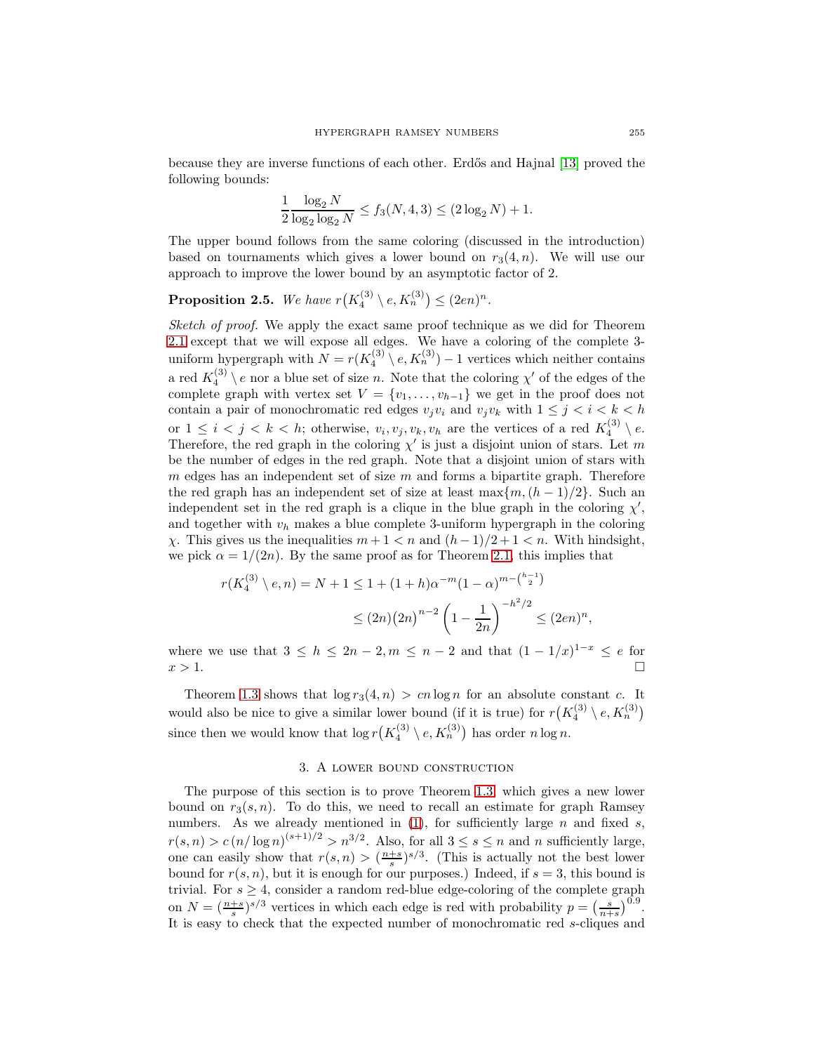because they are inverse functions of each other. Erd˝os and Hajnal [\[13\]](#page-18-7) proved the following bounds:

$$
\frac{1}{2} \frac{\log_2 N}{\log_2 \log_2 N} \le f_3(N, 4, 3) \le (2 \log_2 N) + 1.
$$

The upper bound follows from the same coloring (discussed in the introduction) based on tournaments which gives a lower bound on  $r_3(4, n)$ . We will use our approach to improve the lower bound by an asymptotic factor of 2.

**Proposition 2.5.** We have  $r(K_4^{(3)} \setminus e, K_n^{(3)}) \leq (2en)^n$ .

Sketch of proof. We apply the exact same proof technique as we did for Theorem [2.1](#page-5-0) except that we will expose all edges. We have a coloring of the complete 3 uniform hypergraph with  $N = r(K_4^{(3)} \setminus e, K_n^{(3)}) - 1$  vertices which neither contains a red  $K_4^{(3)} \setminus e$  nor a blue set of size *n*. Note that the coloring  $\chi'$  of the edges of the complete graph with vertex set  $V = \{v_1, \ldots, v_{h-1}\}\$  we get in the proof does not contain a pair of monochromatic red edges  $v_jv_i$  and  $v_jv_k$  with  $1 \leq j \leq i \leq k \leq h$ or  $1 \leq i < j < k < h$ ; otherwise,  $v_i, v_j, v_k, v_h$  are the vertices of a red  $K_4^{(3)} \setminus e$ . Therefore, the red graph in the coloring  $\chi'$  is just a disjoint union of stars. Let m be the number of edges in the red graph. Note that a disjoint union of stars with m edges has an independent set of size  $m$  and forms a bipartite graph. Therefore the red graph has an independent set of size at least max ${m,(h-1)/2}$ . Such an independent set in the red graph is a clique in the blue graph in the coloring  $\chi'$ , and together with  $v_h$  makes a blue complete 3-uniform hypergraph in the coloring  $χ$ . This gives us the inequalities  $m + 1 < n$  and  $(h − 1)/2 + 1 < n$ . With hindsight, we pick  $\alpha = 1/(2n)$ . By the same proof as for Theorem [2.1,](#page-5-0) this implies that

$$
r(K_4^{(3)} \setminus e, n) = N + 1 \le 1 + (1 + h)\alpha^{-m}(1 - \alpha)^{m - \binom{h-1}{2}}
$$
  
 
$$
\le (2n)(2n)^{n-2} \left(1 - \frac{1}{2n}\right)^{-h^2/2} \le (2en)^n,
$$

where we use that  $3 \le h \le 2n - 2, m \le n - 2$  and that  $(1 - 1/x)^{1-x} \le e$  for  $x > 1$ .

Theorem [1.3](#page-2-2) shows that  $\log r_3(4, n) > cn \log n$  for an absolute constant c. It would also be nice to give a similar lower bound (if it is true) for  $r(K_4^{(3)} \setminus e, K_n^{(3)})$ since then we would know that  $\log r \left( K_4^{(3)} \setminus e, K_n^{(3)} \right)$  has order  $n \log n$ .

# 3. A lower bound construction

<span id="page-8-0"></span>The purpose of this section is to prove Theorem [1.3,](#page-2-2) which gives a new lower bound on  $r_3(s, n)$ . To do this, we need to recall an estimate for graph Ramsey numbers. As we already mentioned in  $(1)$ , for sufficiently large n and fixed s,  $r(s, n) > c (n/\log n)^{(s+1)/2} > n^{3/2}$ . Also, for all  $3 \le s \le n$  and n sufficiently large, one can easily show that  $r(s, n) > (\frac{n+s}{s})^{s/3}$ . (This is actually not the best lower bound for  $r(s, n)$ , but it is enough for our purposes.) Indeed, if  $s = 3$ , this bound is trivial. For  $s \geq 4$ , consider a random red-blue edge-coloring of the complete graph on  $N = \left(\frac{n+s}{s}\right)^{s/3}$  vertices in which each edge is red with probability  $p = \left(\frac{s}{n+s}\right)^{0.9}$ . It is easy to check that the expected number of monochromatic red s-cliques and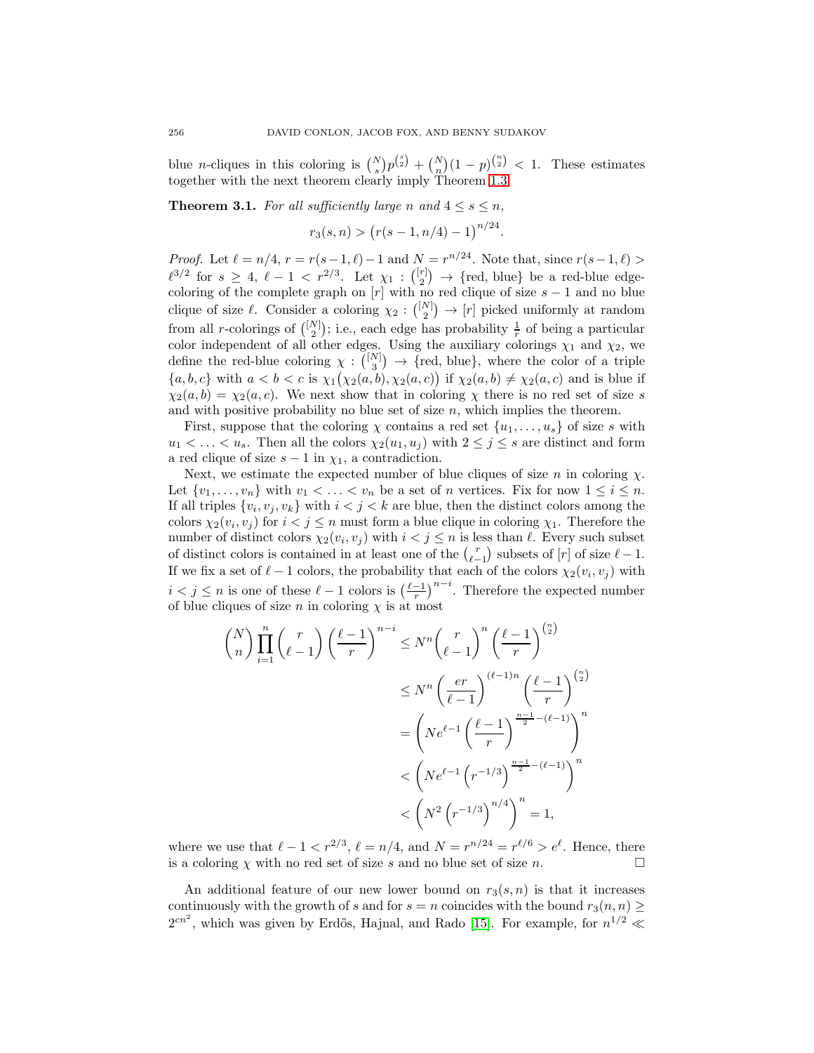blue *n*-cliques in this coloring is  $\binom{N}{s} p^{\binom{s}{2}} + \binom{N}{n} (1-p)^{\binom{n}{2}} < 1$ . These estimates together with the next theorem clearly imply Theorem [1.3.](#page-2-2)

**Theorem 3.1.** For all sufficiently large n and  $4 \leq s \leq n$ ,

$$
r_3(s, n) > (r(s - 1, n/4) - 1)^{n/24}.
$$

*Proof.* Let  $\ell = n/4$ ,  $r = r(s-1, \ell) - 1$  and  $N = r^{n/24}$ . Note that, since  $r(s-1, \ell)$  $\ell^{3/2}$  for  $s \geq 4$ ,  $\ell - 1 < r^{2/3}$ . Let  $\chi_1 : \binom{[r]}{2} \to \{\text{red, blue}\}\$ be a red-blue edgecoloring of the complete graph on  $[r]$  with no red clique of size  $s - 1$  and no blue clique of size  $\ell$ . Consider a coloring  $\chi_2: \binom{[N]}{2} \to [r]$  picked uniformly at random from all *r*-colorings of  $\binom{[N]}{2}$ ; i.e., each edge has probability  $\frac{1}{r}$  of being a particular color independent of all other edges. Using the auxiliary colorings  $\chi_1$  and  $\chi_2$ , we define the red-blue coloring  $\chi: \binom{[N]}{3} \to \{red, blue\}$ , where the color of a triple  $\{a, b, c\}$  with  $a < b < c$  is  $\chi_1(\chi_2(a, b), \chi_2(a, c))$  if  $\chi_2(a, b) \neq \chi_2(a, c)$  and is blue if  $\chi_2(a, b) = \chi_2(a, c)$ . We next show that in coloring  $\chi$  there is no red set of size s and with positive probability no blue set of size  $n$ , which implies the theorem.

First, suppose that the coloring  $\chi$  contains a red set  $\{u_1,\ldots,u_s\}$  of size s with  $u_1 < \ldots < u_s$ . Then all the colors  $\chi_2(u_1, u_j)$  with  $2 \leq j \leq s$  are distinct and form a red clique of size  $s - 1$  in  $\chi_1$ , a contradiction.

Next, we estimate the expected number of blue cliques of size n in coloring  $\chi$ . Let  $\{v_1,\ldots,v_n\}$  with  $v_1 < \ldots < v_n$  be a set of *n* vertices. Fix for now  $1 \leq i \leq n$ . If all triples  $\{v_i, v_j, v_k\}$  with  $i < j < k$  are blue, then the distinct colors among the colors  $\chi_2(v_i, v_j)$  for  $i < j \leq n$  must form a blue clique in coloring  $\chi_1$ . Therefore the number of distinct colors  $\chi_2(v_i, v_j)$  with  $i < j \leq n$  is less than  $\ell$ . Every such subset of distinct colors is contained in at least one of the  $\binom{r}{\ell-1}$  subsets of  $[r]$  of size  $\ell-1$ . If we fix a set of  $\ell - 1$  colors, the probability that each of the colors  $\chi_2(v_i, v_j)$  with  $i < j \leq n$  is one of these  $\ell - 1$  colors is  $\left(\frac{\ell - 1}{r}\right)^{n - i}$ . Therefore the expected number of blue cliques of size n in coloring  $\chi$  is at most

$$
\binom{N}{n} \prod_{i=1}^{n} \binom{r}{\ell-1} \left(\frac{\ell-1}{r}\right)^{n-i} \leq N^n \binom{r}{\ell-1}^n \left(\frac{\ell-1}{r}\right)^{\binom{n}{2}}
$$

$$
\leq N^n \left(\frac{er}{\ell-1}\right)^{(\ell-1)n} \left(\frac{\ell-1}{r}\right)^{\binom{n}{2}}
$$

$$
= \left(Ne^{\ell-1} \left(\frac{\ell-1}{r}\right)^{\frac{n-1}{2}-(\ell-1)}\right)^n
$$

$$
< \left(Ne^{\ell-1} \left(r^{-1/3}\right)^{\frac{n-1}{2}-(\ell-1)}\right)^n
$$

$$
< \left(N^2 \left(r^{-1/3}\right)^{n/4}\right)^n = 1,
$$

where we use that  $\ell - 1 < r^{2/3}$ ,  $\ell = n/4$ , and  $N = r^{n/24} = r^{\ell/6} > e^{\ell}$ . Hence, there is a coloring  $\chi$  with no red set of size s and no blue set of size n.

An additional feature of our new lower bound on  $r_3(s, n)$  is that it increases continuously with the growth of s and for  $s = n$  coincides with the bound  $r_3(n, n) \geq$  $2^{cn^2}$ , which was given by Erdős, Hajnal, and Rado [\[15\]](#page-19-4). For example, for  $n^{1/2} \ll$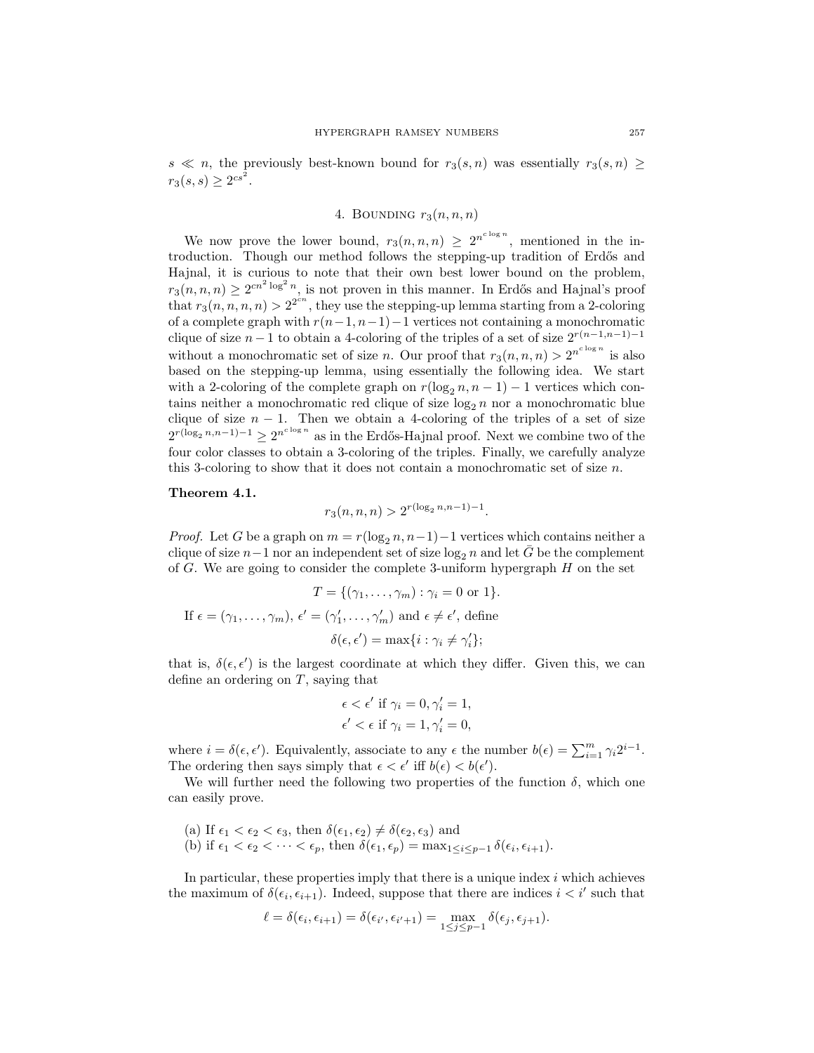<span id="page-10-0"></span>s  $\ll n$ , the previously best-known bound for  $r_3(s, n)$  was essentially  $r_3(s, n) \geq$  $r_3(s,s) \ge 2^{cs^2}.$ 

# 4. BOUNDING  $r_3(n, n, n)$

We now prove the lower bound,  $r_3(n,n,n) \geq 2^{n^{c \log n}}$ , mentioned in the introduction. Though our method follows the stepping-up tradition of Erdős and Hajnal, it is curious to note that their own best lower bound on the problem,  $r_3(n, n, n) \geq 2^{cn^2 \log^2 n}$ , is not proven in this manner. In Erdős and Hajnal's proof that  $r_3(n, n, n, n) > 2^{2^{cn}}$ , they use the stepping-up lemma starting from a 2-coloring of a complete graph with  $r(n-1, n-1)-1$  vertices not containing a monochromatic clique of size  $n-1$  to obtain a 4-coloring of the triples of a set of size  $2^{r(n-1,n-1)-1}$ without a monochromatic set of size *n*. Our proof that  $r_3(n, n, n) > 2^{n^{c \log n}}$  is also based on the stepping-up lemma, using essentially the following idea. We start with a 2-coloring of the complete graph on  $r(\log_2 n, n - 1) - 1$  vertices which contains neither a monochromatic red clique of size  $\log_2 n$  nor a monochromatic blue clique of size  $n - 1$ . Then we obtain a 4-coloring of the triples of a set of size  $2^{r(\log_2 n, n-1)-1} \geq 2^{n^{c \log n}}$  as in the Erdős-Hajnal proof. Next we combine two of the four color classes to obtain a 3-coloring of the triples. Finally, we carefully analyze this 3-coloring to show that it does not contain a monochromatic set of size n.

#### <span id="page-10-1"></span>**Theorem 4.1.**

$$
r_3(n, n, n) > 2^{r(\log_2 n, n-1)-1}.
$$

*Proof.* Let G be a graph on  $m = r(\log_2 n, n-1) - 1$  vertices which contains neither a clique of size  $n-1$  nor an independent set of size  $\log_2 n$  and let  $\overline{G}$  be the complement of  $G$ . We are going to consider the complete 3-uniform hypergraph  $H$  on the set

$$
T = \{(\gamma_1, \dots, \gamma_m) : \gamma_i = 0 \text{ or } 1\}.
$$
  
If  $\epsilon = (\gamma_1, \dots, \gamma_m)$ ,  $\epsilon' = (\gamma'_1, \dots, \gamma'_m)$  and  $\epsilon \neq \epsilon'$ , define  

$$
\delta(\epsilon, \epsilon') = \max\{i : \gamma_i \neq \gamma'_i\};
$$

that is,  $\delta(\epsilon, \epsilon')$  is the largest coordinate at which they differ. Given this, we can define an ordering on T, saying that

$$
\epsilon < \epsilon' \text{ if } \gamma_i = 0, \gamma'_i = 1, \n\epsilon' < \epsilon \text{ if } \gamma_i = 1, \gamma'_i = 0,
$$

where  $i = \delta(\epsilon, \epsilon')$ . Equivalently, associate to any  $\epsilon$  the number  $b(\epsilon) = \sum_{i=1}^{m} \gamma_i 2^{i-1}$ . The ordering then says simply that  $\epsilon < \epsilon'$  iff  $b(\epsilon) < b(\epsilon')$ .

We will further need the following two properties of the function  $\delta$ , which one can easily prove.

(a) If 
$$
\epsilon_1 < \epsilon_2 < \epsilon_3
$$
, then  $\delta(\epsilon_1, \epsilon_2) \neq \delta(\epsilon_2, \epsilon_3)$  and  
(b) if  $\epsilon_1 < \epsilon_2 < \cdots < \epsilon_p$ , then  $\delta(\epsilon_1, \epsilon_p) = \max_{1 \leq i \leq p-1} \delta(\epsilon_i, \epsilon_{i+1})$ .

In particular, these properties imply that there is a unique index  $i$  which achieves the maximum of  $\delta(\epsilon_i, \epsilon_{i+1})$ . Indeed, suppose that there are indices  $i < i'$  such that

$$
\ell = \delta(\epsilon_i, \epsilon_{i+1}) = \delta(\epsilon_{i'}, \epsilon_{i'+1}) = \max_{1 \le j \le p-1} \delta(\epsilon_j, \epsilon_{j+1}).
$$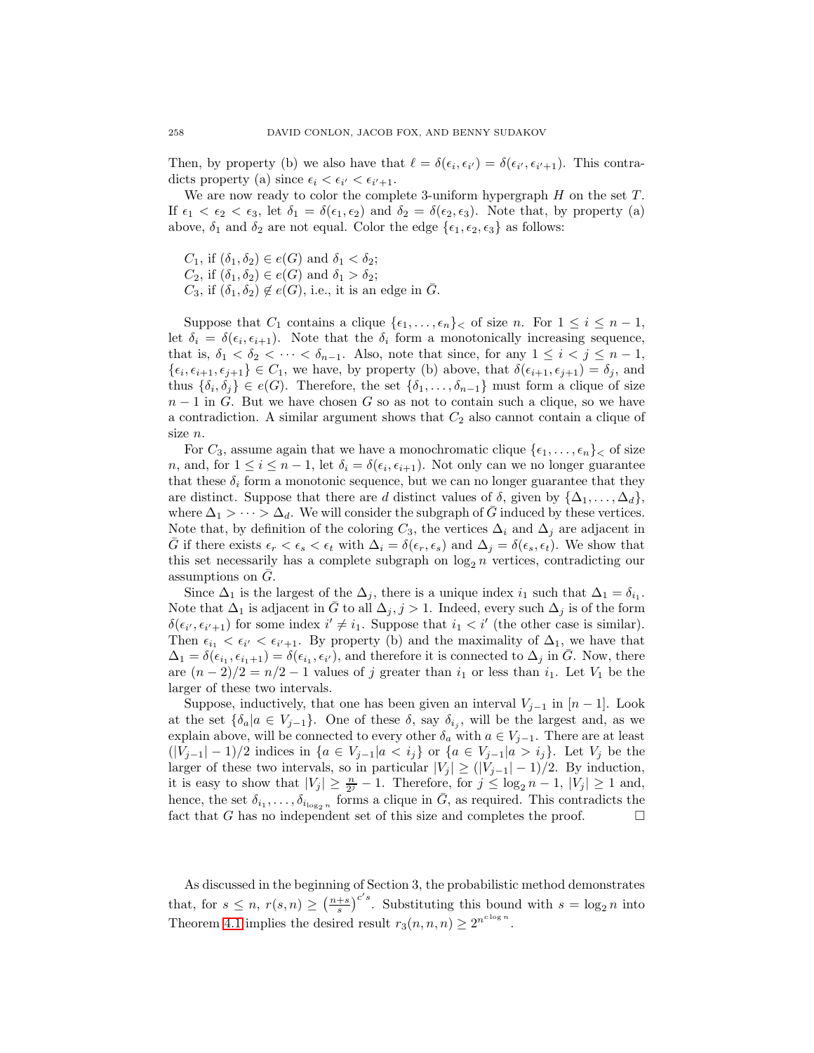Then, by property (b) we also have that  $\ell = \delta(\epsilon_i, \epsilon_{i'}) = \delta(\epsilon_{i'}, \epsilon_{i'+1})$ . This contradicts property (a) since  $\epsilon_i < \epsilon_{i'} < \epsilon_{i'+1}$ .

We are now ready to color the complete 3-uniform hypergraph  $H$  on the set  $T$ . If  $\epsilon_1 < \epsilon_2 < \epsilon_3$ , let  $\delta_1 = \delta(\epsilon_1, \epsilon_2)$  and  $\delta_2 = \delta(\epsilon_2, \epsilon_3)$ . Note that, by property (a) above,  $\delta_1$  and  $\delta_2$  are not equal. Color the edge  $\{\epsilon_1, \epsilon_2, \epsilon_3\}$  as follows:

 $C_1$ , if  $(\delta_1, \delta_2) \in e(G)$  and  $\delta_1 < \delta_2$ ;  $C_2$ , if  $(\delta_1, \delta_2) \in e(G)$  and  $\delta_1 > \delta_2$ ;  $C_3$ , if  $(\delta_1, \delta_2) \notin e(G)$ , i.e., it is an edge in  $\overline{G}$ .

Suppose that  $C_1$  contains a clique  $\{\epsilon_1,\ldots,\epsilon_n\}_\lt$  of size n. For  $1 \leq i \leq n-1$ , let  $\delta_i = \delta(\epsilon_i, \epsilon_{i+1})$ . Note that the  $\delta_i$  form a monotonically increasing sequence, that is,  $\delta_1 < \delta_2 < \cdots < \delta_{n-1}$ . Also, note that since, for any  $1 \leq i < j \leq n-1$ ,  $\{\epsilon_i, \epsilon_{i+1}, \epsilon_{j+1}\} \in C_1$ , we have, by property (b) above, that  $\delta(\epsilon_{i+1}, \epsilon_{j+1}) = \delta_j$ , and thus  $\{\delta_i, \delta_j\} \in e(G)$ . Therefore, the set  $\{\delta_1, \ldots, \delta_{n-1}\}\$  must form a clique of size  $n-1$  in G. But we have chosen G so as not to contain such a clique, so we have a contradiction. A similar argument shows that  $C_2$  also cannot contain a clique of size n.

For  $C_3$ , assume again that we have a monochromatic clique  $\{\epsilon_1,\ldots,\epsilon_n\}$  of size n, and, for  $1 \leq i \leq n-1$ , let  $\delta_i = \delta(\epsilon_i, \epsilon_{i+1})$ . Not only can we no longer guarantee that these  $\delta_i$  form a monotonic sequence, but we can no longer guarantee that they are distinct. Suppose that there are d distinct values of  $\delta$ , given by  $\{\Delta_1,\ldots,\Delta_d\}$ , where  $\Delta_1 > \cdots > \Delta_d$ . We will consider the subgraph of G induced by these vertices. Note that, by definition of the coloring  $C_3$ , the vertices  $\Delta_i$  and  $\Delta_j$  are adjacent in G if there exists  $\epsilon_r < \epsilon_s < \epsilon_t$  with  $\Delta_i = \delta(\epsilon_r, \epsilon_s)$  and  $\Delta_j = \delta(\epsilon_s, \epsilon_t)$ . We show that this set necessarily has a complete subgraph on  $log_2 n$  vertices, contradicting our assumptions on  $G$ .

Since  $\Delta_1$  is the largest of the  $\Delta_j$ , there is a unique index  $i_1$  such that  $\Delta_1 = \delta_{i_1}$ . Note that  $\Delta_1$  is adjacent in  $\bar{G}$  to all  $\Delta_j$ , j > 1. Indeed, every such  $\Delta_j$  is of the form  $\delta(\epsilon_{i'}, \epsilon_{i'+1})$  for some index  $i' \neq i_1$ . Suppose that  $i_1 < i'$  (the other case is similar). Then  $\epsilon_{i_1} < \epsilon_{i'} < \epsilon_{i'+1}$ . By property (b) and the maximality of  $\Delta_1$ , we have that  $\Delta_1 = \delta(\epsilon_{i_1}, \epsilon_{i_1+1}) = \delta(\epsilon_{i_1}, \epsilon_{i'})$ , and therefore it is connected to  $\Delta_j$  in  $\overline{G}$ . Now, there are  $(n-2)/2 = n/2 - 1$  values of j greater than  $i_1$  or less than  $i_1$ . Let  $V_1$  be the larger of these two intervals.

Suppose, inductively, that one has been given an interval  $V_{i-1}$  in [n − 1]. Look at the set  $\{\delta_a | a \in V_{j-1}\}$ . One of these  $\delta$ , say  $\delta_{i_j}$ , will be the largest and, as we explain above, will be connected to every other  $\delta_a$  with  $a \in V_{j-1}$ . There are at least  $(|V_{j-1}|-1)/2$  indices in  ${a \in V_{j-1} | a \lt i_j}$  or  ${a \in V_{j-1} | a > i_j}$ . Let  $V_j$  be the larger of these two intervals, so in particular  $|V_j| \ge (|V_{j-1}|-1)/2$ . By induction, it is easy to show that  $|V_j| \geq \frac{n}{2^j} - 1$ . Therefore, for  $j \leq \log_2 n - 1$ ,  $|V_j| \geq 1$  and, hence, the set  $\delta_{i_1}, \ldots, \delta_{i_{\log_2 n}}$  forms a clique in G, as required. This contradicts the fact that G has no independent set of this size and completes the proof. fact that G has no independent set of this size and completes the proof.

As discussed in the beginning of Section 3, the probabilistic method demonstrates that, for  $s \leq n$ ,  $r(s,n) \geq \left(\frac{n+s}{s}\right)^{c's}$ . Substituting this bound with  $s = \log_2 n$  into Theorem [4.1](#page-10-1) implies the desired result  $r_3(n, n, n) \geq 2^{n^{c \log n}}$ .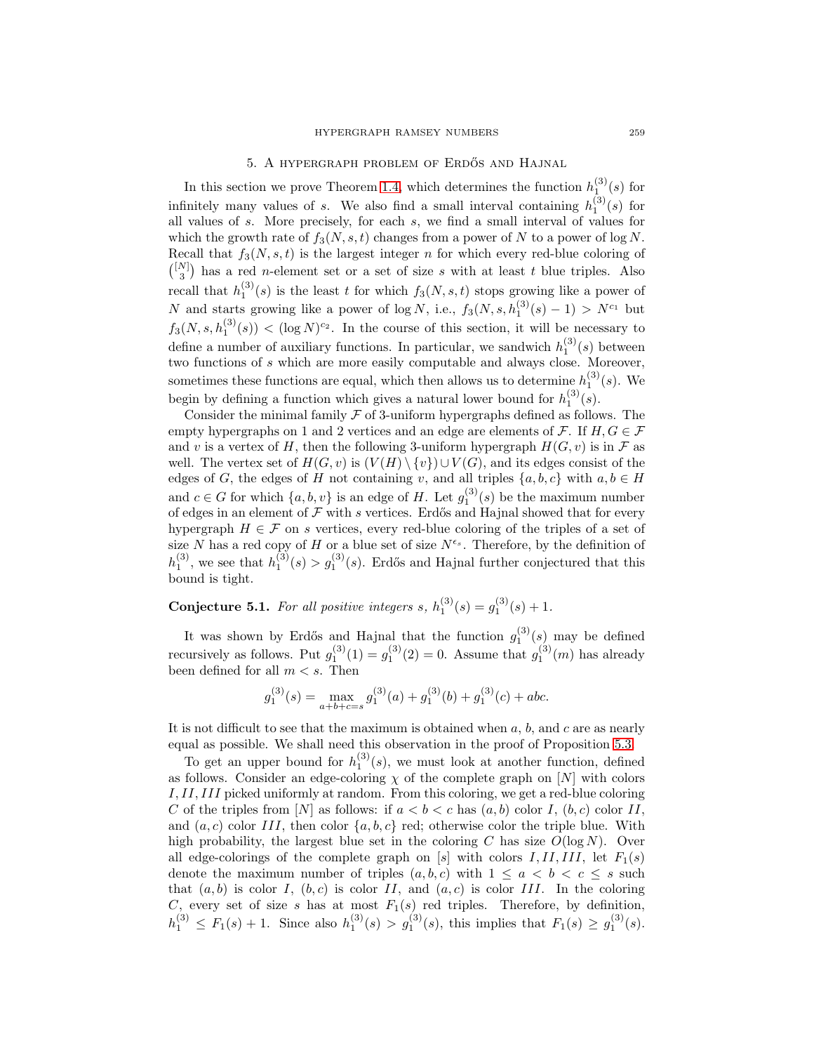# 5. A HYPERGRAPH PROBLEM OF ERDŐS AND HAJNAL

<span id="page-12-0"></span>In this section we prove Theorem [1.4,](#page-2-0) which determines the function  $h_1^{(3)}(s)$  for infinitely many values of s. We also find a small interval containing  $h_1^{(3)}(s)$  for all values of s. More precisely, for each s, we find a small interval of values for which the growth rate of  $f_3(N, s, t)$  changes from a power of N to a power of  $\log N$ . Recall that  $f_3(N, s, t)$  is the largest integer n for which every red-blue coloring of  $\binom{[N]}{3}$  has a red *n*-element set or a set of size s with at least t blue triples. Also recall that  $h_1^{(3)}(s)$  is the least t for which  $f_3(N, s, t)$  stops growing like a power of N and starts growing like a power of  $\log N$ , i.e.,  $f_3(N, s, h_1^{(3)}(s) - 1) > N^{c_1}$  but  $f_3(N, s, h_1^{(3)}(s)) < (\log N)^{c_2}$ . In the course of this section, it will be necessary to define a number of auxiliary functions. In particular, we sandwich  $h_1^{(3)}(s)$  between two functions of s which are more easily computable and always close. Moreover, sometimes these functions are equal, which then allows us to determine  $h_1^{(3)}(s)$ . We begin by defining a function which gives a natural lower bound for  $h_1^{(3)}(s)$ .

Consider the minimal family  $\mathcal F$  of 3-uniform hypergraphs defined as follows. The empty hypergraphs on 1 and 2 vertices and an edge are elements of  $\mathcal{F}$ . If  $H, G \in \mathcal{F}$ and v is a vertex of H, then the following 3-uniform hypergraph  $H(G, v)$  is in F as well. The vertex set of  $H(G, v)$  is  $(V(H) \setminus \{v\}) \cup V(G)$ , and its edges consist of the edges of G, the edges of H not containing v, and all triples  $\{a, b, c\}$  with  $a, b \in H$ and  $c \in G$  for which  $\{a, b, v\}$  is an edge of H. Let  $g_1^{(3)}(s)$  be the maximum number of edges in an element of  $\mathcal F$  with s vertices. Erdős and Hajnal showed that for every hypergraph  $H \in \mathcal{F}$  on s vertices, every red-blue coloring of the triples of a set of size N has a red copy of H or a blue set of size  $N^{\epsilon_s}$ . Therefore, by the definition of  $h_1^{(3)}$ , we see that  $h_1^{(3)}(s) > g_1^{(3)}(s)$ . Erdős and Hajnal further conjectured that this bound is tight.

<span id="page-12-1"></span>**Conjecture 5.1.** For all positive integers s,  $h_1^{(3)}(s) = g_1^{(3)}(s) + 1$ .

It was shown by Erdős and Hajnal that the function  $g_1^{(3)}(s)$  may be defined recursively as follows. Put  $g_1^{(3)}(1) = g_1^{(3)}(2) = 0$ . Assume that  $g_1^{(3)}(m)$  has already been defined for all  $m < s$ . Then

$$
g_1^{(3)}(s) = \max_{a+b+c=s} g_1^{(3)}(a) + g_1^{(3)}(b) + g_1^{(3)}(c) + abc.
$$

It is not difficult to see that the maximum is obtained when  $a, b$ , and  $c$  are as nearly equal as possible. We shall need this observation in the proof of Proposition [5.3.](#page-13-0)

To get an upper bound for  $h_1^{(3)}(s)$ , we must look at another function, defined as follows. Consider an edge-coloring  $\chi$  of the complete graph on [N] with colors I,II,III picked uniformly at random. From this coloring, we get a red-blue coloring C of the triples from [N] as follows: if  $a < b < c$  has  $(a, b)$  color I,  $(b, c)$  color II, and  $(a, c)$  color III, then color  $\{a, b, c\}$  red; otherwise color the triple blue. With high probability, the largest blue set in the coloring C has size  $O(\log N)$ . Over all edge-colorings of the complete graph on [s] with colors  $I, II, III,$  let  $F_1(s)$ denote the maximum number of triples  $(a, b, c)$  with  $1 \le a < b < c \le s$  such that  $(a, b)$  is color I,  $(b, c)$  is color II, and  $(a, c)$  is color III. In the coloring C, every set of size s has at most  $F_1(s)$  red triples. Therefore, by definition,  $h_1^{(3)} \le F_1(s) + 1$ . Since also  $h_1^{(3)}(s) > g_1^{(3)}(s)$ , this implies that  $F_1(s) \ge g_1^{(3)}(s)$ .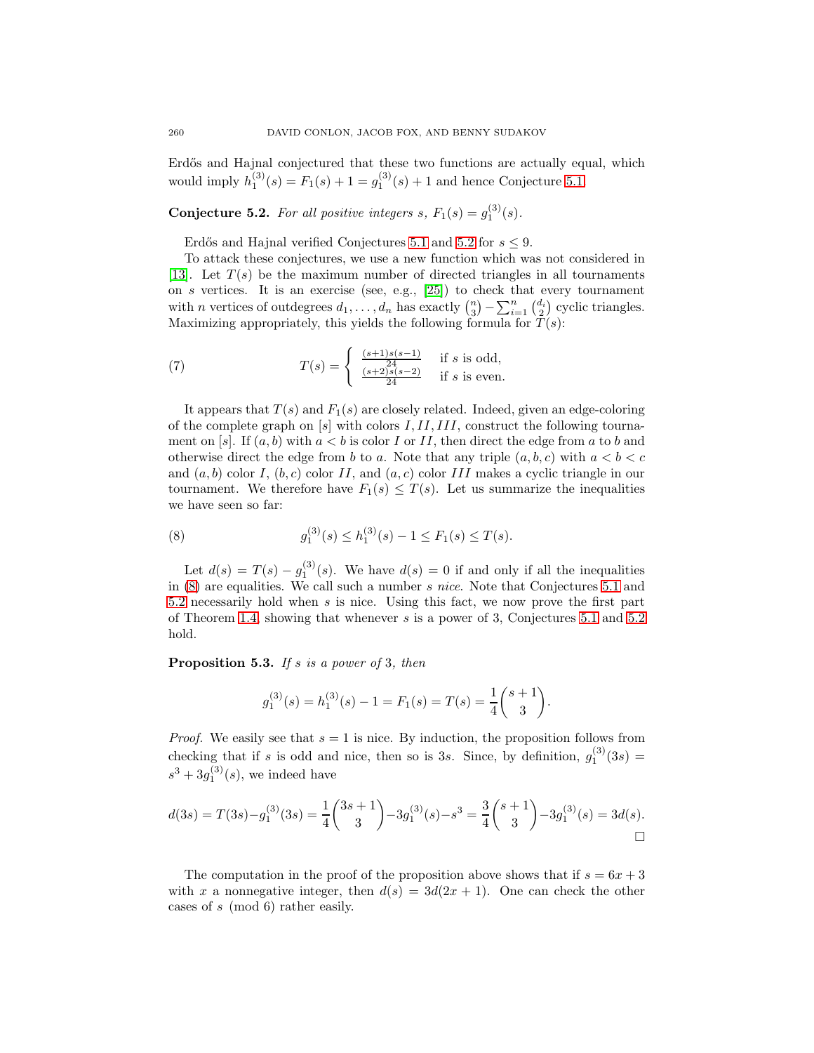<span id="page-13-1"></span>Erdős and Hajnal conjectured that these two functions are actually equal, which would imply  $h_1^{(3)}(s) = F_1(s) + 1 = g_1^{(3)}(s) + 1$  and hence Conjecture [5.1.](#page-12-1)

**Conjecture 5.2.** For all positive integers s,  $F_1(s) = g_1^{(3)}(s)$ .

<span id="page-13-4"></span>Erdős and Hajnal verified Conjectures [5.1](#page-12-1) and [5.2](#page-13-1) for  $s \leq 9$ .

To attack these conjectures, we use a new function which was not considered in [\[13\]](#page-18-7). Let  $T(s)$  be the maximum number of directed triangles in all tournaments on s vertices. It is an exercise (see, e.g.,  $[25]$ ) to check that every tournament with *n* vertices of outdegrees  $d_1, \ldots, d_n$  has exactly  $\binom{n}{3} - \sum_{i=1}^n \binom{d_i}{2}$  cyclic triangles. Maximizing appropriately, this yields the following formula for  $T(s)$ :

(7) 
$$
T(s) = \begin{cases} \frac{(s+1)s(s-1)}{24} & \text{if } s \text{ is odd,} \\ \frac{(s+2)s(s-2)}{24} & \text{if } s \text{ is even.} \end{cases}
$$

It appears that  $T(s)$  and  $F_1(s)$  are closely related. Indeed, given an edge-coloring of the complete graph on  $[s]$  with colors  $I, II, III$ , construct the following tournament on [s]. If  $(a, b)$  with  $a < b$  is color I or II, then direct the edge from a to b and otherwise direct the edge from b to a. Note that any triple  $(a, b, c)$  with  $a < b < c$ and  $(a, b)$  color I,  $(b, c)$  color II, and  $(a, c)$  color III makes a cyclic triangle in our tournament. We therefore have  $F_1(s) \leq T(s)$ . Let us summarize the inequalities we have seen so far:

<span id="page-13-2"></span>(8) 
$$
g_1^{(3)}(s) \le h_1^{(3)}(s) - 1 \le F_1(s) \le T(s).
$$

Let  $d(s) = T(s) - g_1^{(3)}(s)$ . We have  $d(s) = 0$  if and only if all the inequalities in [\(8\)](#page-13-2) are equalities. We call such a number s nice. Note that Conjectures [5.1](#page-12-1) and [5.2](#page-13-1) necessarily hold when s is nice. Using this fact, we now prove the first part of Theorem [1.4,](#page-2-0) showing that whenever s is a power of 3, Conjectures [5.1](#page-12-1) and [5.2](#page-13-1) hold.

<span id="page-13-0"></span>**Proposition 5.3.** If s is a power of 3, then

$$
g_1^{(3)}(s) = h_1^{(3)}(s) - 1 = F_1(s) = T(s) = \frac{1}{4} \binom{s+1}{3}.
$$

*Proof.* We easily see that  $s = 1$  is nice. By induction, the proposition follows from checking that if s is odd and nice, then so is 3s. Since, by definition,  $g_1^{(3)}(3s)$  =  $s^3 + 3g_1^{(3)}(s)$ , we indeed have

$$
d(3s) = T(3s) - g_1^{(3)}(3s) = \frac{1}{4} {3s + 1 \choose 3} - 3g_1^{(3)}(s) - s^3 = \frac{3}{4} {s + 1 \choose 3} - 3g_1^{(3)}(s) = 3d(s).
$$

<span id="page-13-3"></span>The computation in the proof of the proposition above shows that if  $s = 6x + 3$ with x a nonnegative integer, then  $d(s)=3d(2x + 1)$ . One can check the other cases of s (mod 6) rather easily.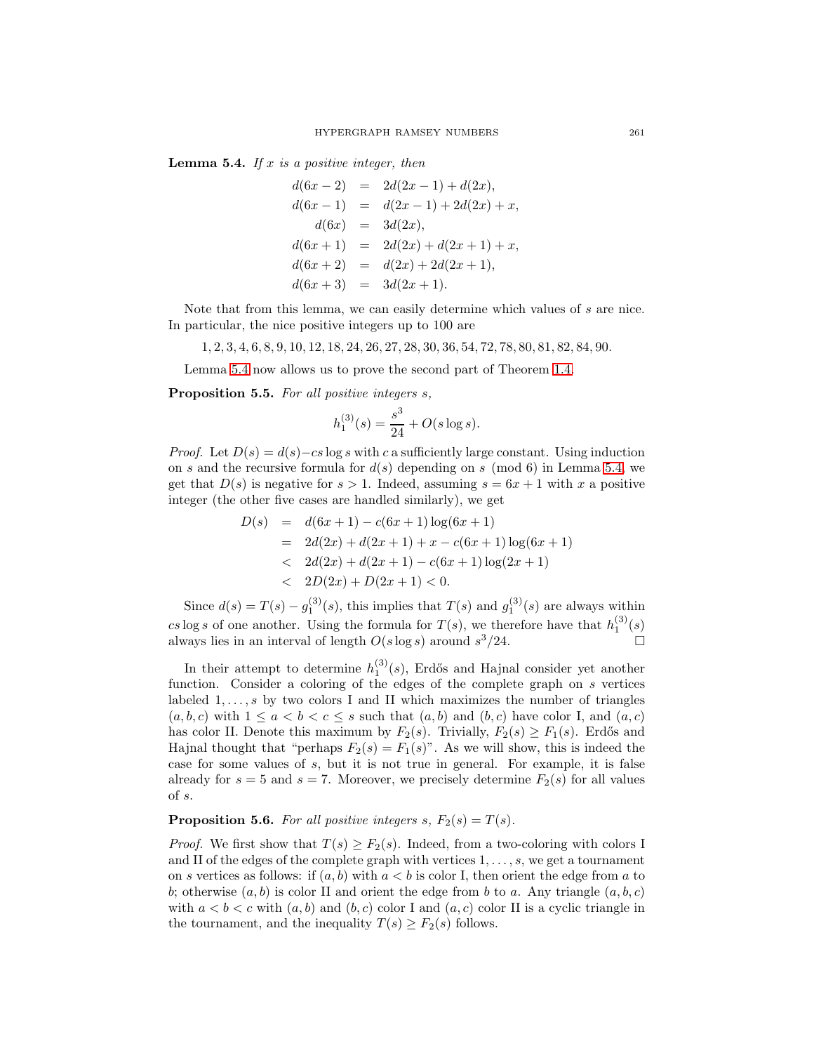**Lemma 5.4.** If x is a positive integer, then

$$
d(6x - 2) = 2d(2x - 1) + d(2x),
$$
  
\n
$$
d(6x - 1) = d(2x - 1) + 2d(2x) + x,
$$
  
\n
$$
d(6x) = 3d(2x),
$$
  
\n
$$
d(6x + 1) = 2d(2x) + d(2x + 1) + x,
$$
  
\n
$$
d(6x + 2) = d(2x) + 2d(2x + 1),
$$
  
\n
$$
d(6x + 3) = 3d(2x + 1).
$$

Note that from this lemma, we can easily determine which values of s are nice. In particular, the nice positive integers up to 100 are

1, 2, 3, 4, 6, 8, 9, 10, 12, 18, 24, 26, 27, 28, 30, 36, 54, 72, 78, 80, 81, 82, 84, 90.

Lemma [5.4](#page-13-3) now allows us to prove the second part of Theorem [1.4.](#page-2-0)

**Proposition 5.5.** For all positive integers s,

$$
h_1^{(3)}(s) = \frac{s^3}{24} + O(s \log s).
$$

*Proof.* Let  $D(s) = d(s) - cs \log s$  with c a sufficiently large constant. Using induction on s and the recursive formula for  $d(s)$  depending on s (mod 6) in Lemma [5.4,](#page-13-3) we get that  $D(s)$  is negative for  $s > 1$ . Indeed, assuming  $s = 6x + 1$  with x a positive integer (the other five cases are handled similarly), we get

$$
D(s) = d(6x + 1) - c(6x + 1) \log(6x + 1)
$$
  
=  $2d(2x) + d(2x + 1) + x - c(6x + 1) \log(6x + 1)$   
<  $2d(2x) + d(2x + 1) - c(6x + 1) \log(2x + 1)$   
<  $2D(2x) + D(2x + 1) < 0$ .

Since  $d(s) = T(s) - g_1^{(3)}(s)$ , this implies that  $T(s)$  and  $g_1^{(3)}(s)$  are always within cs log s of one another. Using the formula for  $T(s)$ , we therefore have that  $h_1^{(3)}(s)$ always lies in an interval of length  $O(s \log s)$  around  $s^3/24$ .

In their attempt to determine  $h_1^{(3)}(s)$ , Erdős and Hajnal consider yet another function. Consider a coloring of the edges of the complete graph on s vertices labeled  $1, \ldots, s$  by two colors I and II which maximizes the number of triangles  $(a, b, c)$  with  $1 \le a < b < c \le s$  such that  $(a, b)$  and  $(b, c)$  have color I, and  $(a, c)$ has color II. Denote this maximum by  $F_2(s)$ . Trivially,  $F_2(s) \geq F_1(s)$ . Erdős and Hajnal thought that "perhaps  $F_2(s) = F_1(s)$ ". As we will show, this is indeed the case for some values of s, but it is not true in general. For example, it is false already for  $s = 5$  and  $s = 7$ . Moreover, we precisely determine  $F_2(s)$  for all values of s.

**Proposition 5.6.** For all positive integers s,  $F_2(s) = T(s)$ .

*Proof.* We first show that  $T(s) \geq F_2(s)$ . Indeed, from a two-coloring with colors I and II of the edges of the complete graph with vertices  $1, \ldots, s$ , we get a tournament on s vertices as follows: if  $(a, b)$  with  $a < b$  is color I, then orient the edge from a to b; otherwise  $(a, b)$  is color II and orient the edge from b to a. Any triangle  $(a, b, c)$ with  $a < b < c$  with  $(a, b)$  and  $(b, c)$  color I and  $(a, c)$  color II is a cyclic triangle in the tournament, and the inequality  $T(s) \geq F_2(s)$  follows.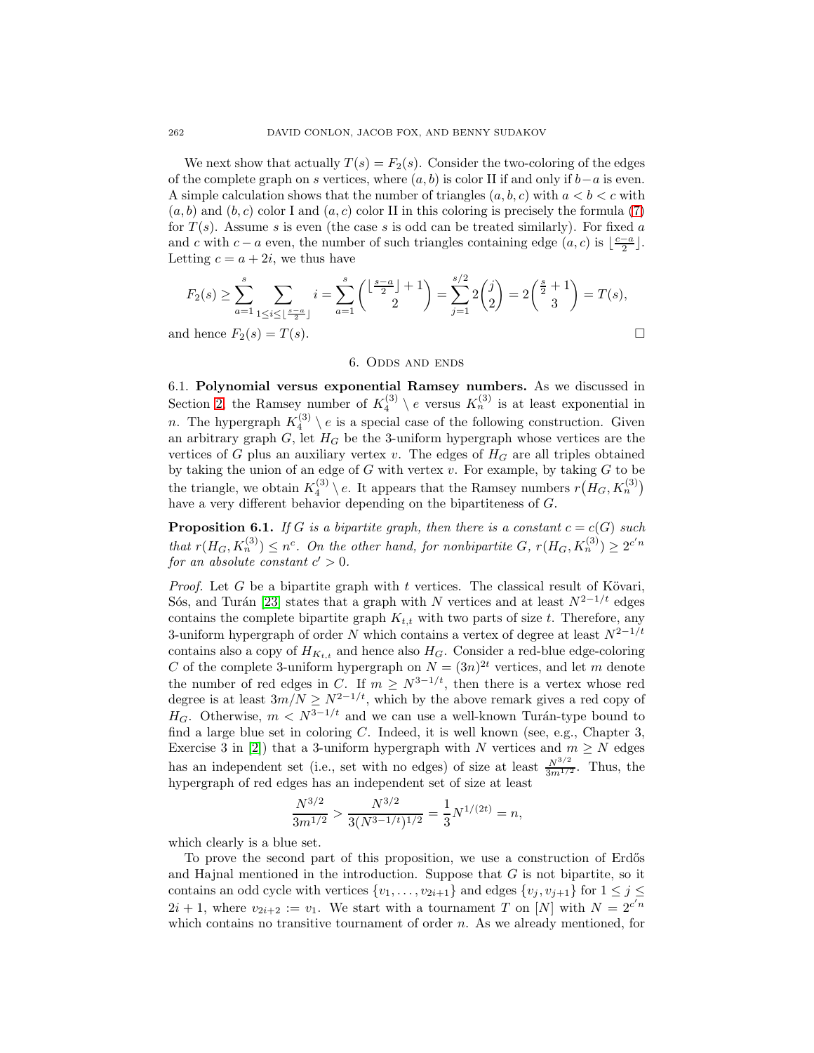We next show that actually  $T(s) = F_2(s)$ . Consider the two-coloring of the edges of the complete graph on s vertices, where  $(a, b)$  is color II if and only if  $b-a$  is even. A simple calculation shows that the number of triangles  $(a, b, c)$  with  $a < b < c$  with  $(a, b)$  and  $(b, c)$  color I and  $(a, c)$  color II in this coloring is precisely the formula [\(7\)](#page-13-4) for  $T(s)$ . Assume s is even (the case s is odd can be treated similarly). For fixed a and c with  $c - a$  even, the number of such triangles containing edge  $(a, c)$  is  $\lfloor \frac{c-a}{2} \rfloor$ . Letting  $c = a + 2i$ , we thus have

$$
F_2(s) \ge \sum_{a=1}^s \sum_{1 \le i \le \lfloor \frac{s-a}{2} \rfloor} i = \sum_{a=1}^s {\lfloor \frac{s-a}{2} \rfloor + 1 \choose 2} = \sum_{j=1}^{s/2} 2 \binom{j}{2} = 2 \binom{\frac{s}{2}+1}{3} = T(s),
$$
  
and hence  $F_2(s) = T(s)$ .

#### 6. Odds and ends

6.1. **Polynomial versus exponential Ramsey numbers.** As we discussed in Section [2,](#page-3-1) the Ramsey number of  $K_4^{(3)} \setminus e$  versus  $K_n^{(3)}$  is at least exponential in n. The hypergraph  $K_4^{(3)} \setminus e$  is a special case of the following construction. Given an arbitrary graph  $G$ , let  $H_G$  be the 3-uniform hypergraph whose vertices are the vertices of G plus an auxiliary vertex v. The edges of  $H_G$  are all triples obtained by taking the union of an edge of  $G$  with vertex  $v$ . For example, by taking  $G$  to be the triangle, we obtain  $K_4^{(3)} \setminus e$ . It appears that the Ramsey numbers  $r(H_G, K_n^{(3)})$ have a very different behavior depending on the bipartiteness of G.

**Proposition 6.1.** If G is a bipartite graph, then there is a constant  $c = c(G)$  such that  $r(H_G, K_n^{(3)}) \leq n^c$ . On the other hand, for nonbipartite G,  $r(H_G, K_n^{(3)}) \geq 2^{c'n}$ for an absolute constant  $c' > 0$ .

*Proof.* Let G be a bipartite graph with t vertices. The classical result of Kövari, Sós, and Turán [\[23\]](#page-19-10) states that a graph with N vertices and at least  $N^{2-1/t}$  edges contains the complete bipartite graph  $K_{t,t}$  with two parts of size t. Therefore, any 3-uniform hypergraph of order  $N$  which contains a vertex of degree at least  $N^{2-1/t}$ contains also a copy of  $H_{K_{t,t}}$  and hence also  $H_G$ . Consider a red-blue edge-coloring C of the complete 3-uniform hypergraph on  $N = (3n)^{2t}$  vertices, and let m denote the number of red edges in C. If  $m \geq N^{3-1/t}$ , then there is a vertex whose red degree is at least  $3m/N \geq N^{2-1/t}$ , which by the above remark gives a red copy of  $H_G$ . Otherwise,  $m < N^{3-1/t}$  and we can use a well-known Turán-type bound to find a large blue set in coloring  $C$ . Indeed, it is well known (see, e.g., Chapter 3, Exercise 3 in [\[2\]](#page-18-8)) that a 3-uniform hypergraph with N vertices and  $m \geq N$  edges has an independent set (i.e., set with no edges) of size at least  $\frac{N^{3/2}}{3m^{1/2}}$ . Thus, the hypergraph of red edges has an independent set of size at least

$$
\frac{N^{3/2}}{3m^{1/2}} > \frac{N^{3/2}}{3(N^{3-1/t})^{1/2}} = \frac{1}{3}N^{1/(2t)} = n,
$$

which clearly is a blue set.

To prove the second part of this proposition, we use a construction of Erdős and Hajnal mentioned in the introduction. Suppose that G is not bipartite, so it contains an odd cycle with vertices  $\{v_1, \ldots, v_{2i+1}\}$  and edges  $\{v_j, v_{j+1}\}$  for  $1 \le j \le k$  $2i + 1$ , where  $v_{2i+2} := v_1$ . We start with a tournament T on [N] with  $N = 2^{c'n}$ which contains no transitive tournament of order  $n$ . As we already mentioned, for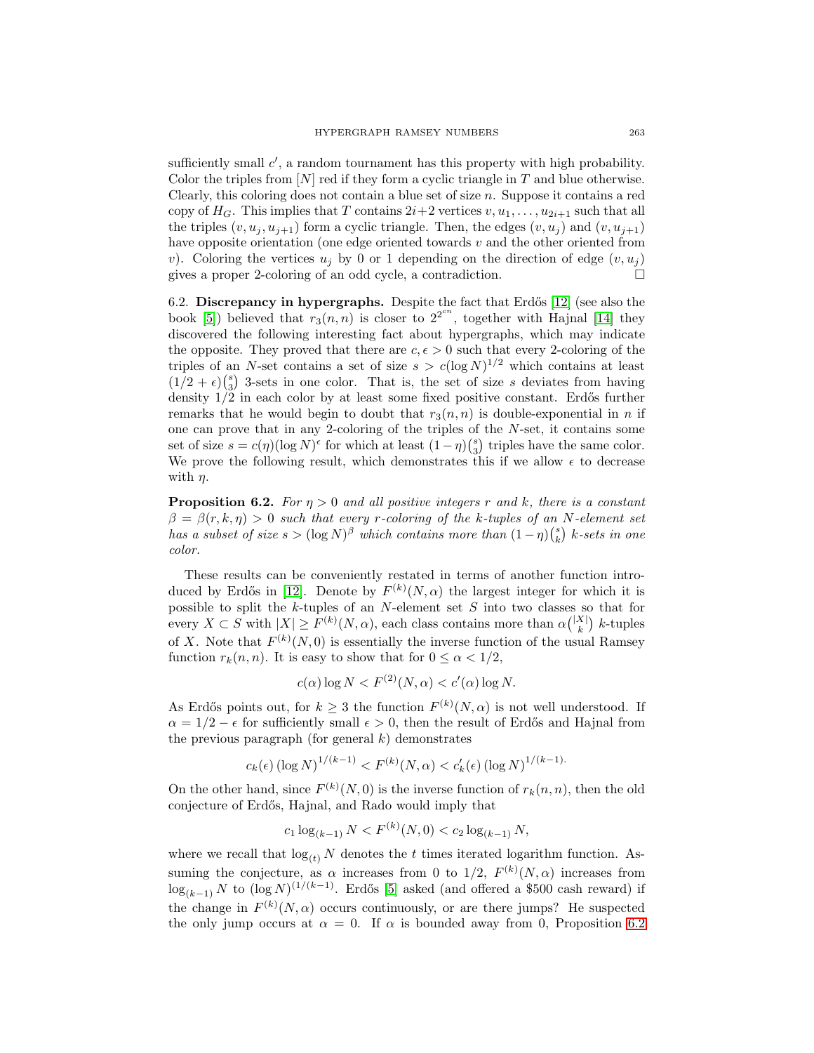sufficiently small  $c'$ , a random tournament has this property with high probability. Color the triples from  $[N]$  red if they form a cyclic triangle in T and blue otherwise. Clearly, this coloring does not contain a blue set of size  $n$ . Suppose it contains a red copy of  $H_G$ . This implies that T contains  $2i+2$  vertices  $v, u_1, \ldots, u_{2i+1}$  such that all the triples  $(v, u_j, u_{j+1})$  form a cyclic triangle. Then, the edges  $(v, u_j)$  and  $(v, u_{j+1})$ have opposite orientation (one edge oriented towards  $v$  and the other oriented from v). Coloring the vertices  $u_i$  by 0 or 1 depending on the direction of edge  $(v, u_i)$ gives a proper 2-coloring of an odd cycle, a contradiction.

6.2. **Discrepancy in hypergraphs.** Despite the fact that Erd˝os [\[12\]](#page-18-9) (see also the book [\[5\]](#page-18-6)) believed that  $r_3(n, n)$  is closer to  $2^{2^{cn}}$ , together with Hajnal [\[14\]](#page-18-5) they discovered the following interesting fact about hypergraphs, which may indicate the opposite. They proved that there are  $c, \epsilon > 0$  such that every 2-coloring of the triples of an N-set contains a set of size  $s>c(\log N)^{1/2}$  which contains at least  $(1/2 + \epsilon) {s \choose 3}$  3-sets in one color. That is, the set of size s deviates from having density  $1/\tilde{2}$  in each color by at least some fixed positive constant. Erdős further remarks that he would begin to doubt that  $r_3(n, n)$  is double-exponential in n if one can prove that in any 2-coloring of the triples of the N-set, it contains some set of size  $s = c(\eta)(\log N)^{\epsilon}$  for which at least  $(1 - \eta)\binom{s}{3}$  triples have the same color. We prove the following result, which demonstrates this if we allow  $\epsilon$  to decrease with  $\eta$ .

<span id="page-16-0"></span>**Proposition 6.2.** For  $\eta > 0$  and all positive integers r and k, there is a constant  $\beta = \beta(r, k, \eta) > 0$  such that every r-coloring of the k-tuples of an N-element set has a subset of size  $s > (\log N)^{\beta}$  which contains more than  $(1 - \eta) {s \choose k}$  k-sets in one color.

These results can be conveniently restated in terms of another function intro-duced by Erdős in [\[12\]](#page-18-9). Denote by  $F^{(k)}(N,\alpha)$  the largest integer for which it is possible to split the k-tuples of an N-element set S into two classes so that for every  $X \subset S$  with  $|X| \ge F^{(k)}(N, \alpha)$ , each class contains more than  $\alpha { |X| \choose k}$  k-tuples of X. Note that  $F^{(k)}(N,0)$  is essentially the inverse function of the usual Ramsey function  $r_k(n, n)$ . It is easy to show that for  $0 \leq \alpha < 1/2$ ,

$$
c(\alpha)\log N < F^{(2)}(N,\alpha) < c'(\alpha)\log N.
$$

As Erdős points out, for  $k \geq 3$  the function  $F^{(k)}(N, \alpha)$  is not well understood. If  $\alpha = 1/2 - \epsilon$  for sufficiently small  $\epsilon > 0$ , then the result of Erdős and Hajnal from the previous paragraph (for general  $k$ ) demonstrates

$$
c_k(\epsilon) (\log N)^{1/(k-1)} < F^{(k)}(N, \alpha) < c'_k(\epsilon) (\log N)^{1/(k-1)}.
$$

On the other hand, since  $F^{(k)}(N,0)$  is the inverse function of  $r_k(n,n)$ , then the old conjecture of Erd˝os, Hajnal, and Rado would imply that

$$
c_1 \log_{(k-1)} N < F^{(k)}(N,0) < c_2 \log_{(k-1)} N,
$$

where we recall that  $\log_{(t)} N$  denotes the t times iterated logarithm function. Assuming the conjecture, as  $\alpha$  increases from 0 to 1/2,  $F^{(k)}(N,\alpha)$  increases from  $\log_{(k-1)} N$  to  $(\log N)^{(1/(k-1))}$ . Erdős [\[5\]](#page-18-6) asked (and offered a \$500 cash reward) if the change in  $F^{(k)}(N,\alpha)$  occurs continuously, or are there jumps? He suspected the only jump occurs at  $\alpha = 0$ . If  $\alpha$  is bounded away from 0, Proposition [6.2](#page-16-0)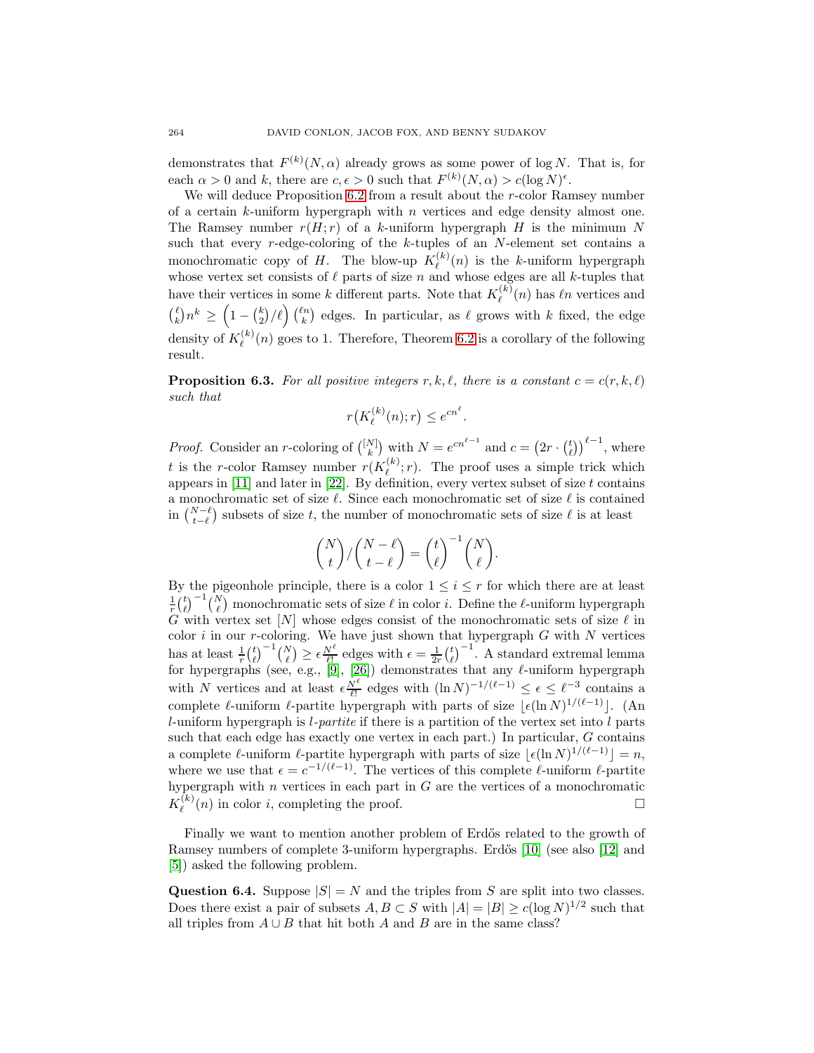demonstrates that  $F^{(k)}(N,\alpha)$  already grows as some power of log N. That is, for each  $\alpha > 0$  and k, there are  $c, \epsilon > 0$  such that  $F^{(k)}(N, \alpha) > c(\log N)^{\epsilon}$ .

We will deduce Proposition [6.2](#page-16-0) from a result about the r-color Ramsey number of a certain  $k$ -uniform hypergraph with  $n$  vertices and edge density almost one. The Ramsey number  $r(H; r)$  of a k-uniform hypergraph H is the minimum N such that every r-edge-coloring of the  $k$ -tuples of an N-element set contains a monochromatic copy of H. The blow-up  $K_{\ell}^{(k)}(n)$  is the k-uniform hypergraph whose vertex set consists of  $\ell$  parts of size n and whose edges are all k-tuples that have their vertices in some k different parts. Note that  $K_{\ell}^{(k)}(n)$  has  $\ell n$  vertices and  $\binom{\ell}{k} n^k \geq \left(1-\binom{k}{2}/\ell\right) \binom{\ell n}{k}$  edges. In particular, as  $\ell$  grows with k fixed, the edge density of  $K_{\ell}^{(k)}(n)$  goes to 1. Therefore, Theorem [6.2](#page-16-0) is a corollary of the following result.

**Proposition 6.3.** For all positive integers r, k, l, there is a constant  $c = c(r, k, l)$ such that

$$
r\big(K_{\ell}^{(k)}(n);r\big) \le e^{cn^{\ell}}.
$$

*Proof.* Consider an *r*-coloring of  $\binom{[N]}{k}$  with  $N = e^{cn^{\ell-1}}$  and  $c = (2r \cdot \binom{t}{\ell})^{\ell-1}$ , where t is the r-color Ramsey number  $r(K_{\ell}^{(k)}; r)$ . The proof uses a simple trick which appears in  $[11]$  and later in  $[22]$ . By definition, every vertex subset of size t contains a monochromatic set of size  $\ell$ . Since each monochromatic set of size  $\ell$  is contained in  $\binom{N-\ell}{t-\ell}$  subsets of size t, the number of monochromatic sets of size  $\ell$  is at least

$$
\binom{N}{t}/\binom{N-\ell}{t-\ell} = \binom{t}{\ell}^{-1}\binom{N}{\ell}.
$$

By the pigeonhole principle, there is a color  $1 \leq i \leq r$  for which there are at least  $\frac{1}{r} {t \choose \ell}^{-1} {N \choose \ell}$  monochromatic sets of size  $\ell$  in color *i*. Define the  $\ell$ -uniform hypergraph G with vertex set  $[N]$  whose edges consist of the monochromatic sets of size  $\ell$  in color  $i$  in our r-coloring. We have just shown that hypergraph  $G$  with  $N$  vertices has at least  $\frac{1}{r} {t \choose \ell}^{-1} {N \choose \ell} \ge \epsilon \frac{N^{\ell}}{\ell!}$  edges with  $\epsilon = \frac{1}{2r} {t \choose \ell}^{-1}$ . A standard extremal lemma for hypergraphs (see, e.g., [\[9\]](#page-18-11), [\[26\]](#page-19-12)) demonstrates that any  $\ell$ -uniform hypergraph with N vertices and at least  $\epsilon \frac{N^{\ell}}{\ell!}$  edges with  $(\ln N)^{-1/(\ell-1)} \leq \epsilon \leq \ell^{-3}$  contains a complete  $\ell$ -uniform  $\ell$ -partite hypergraph with parts of size  $\lfloor \epsilon (\ln N)^{1/(\ell-1)} \rfloor$ . (An  $l$ -uniform hypergraph is  $l$ -partite if there is a partition of the vertex set into  $l$  parts such that each edge has exactly one vertex in each part.) In particular, G contains a complete  $\ell$ -uniform  $\ell$ -partite hypergraph with parts of size  $\lfloor \epsilon (\ln N)^{1/(\ell-1)} \rfloor = n$ , where we use that  $\epsilon = c^{-1/(\ell-1)}$ . The vertices of this complete  $\ell$ -uniform  $\ell$ -partite hypergraph with  $n$  vertices in each part in  $G$  are the vertices of a monochromatic  $K_{\ell}^{(k)}(n)$  in color *i*, completing the proof.

Finally we want to mention another problem of Erdős related to the growth of Ramsey numbers of complete 3-uniform hypergraphs. Erdős [\[10\]](#page-18-12) (see also [\[12\]](#page-18-9) and [\[5\]](#page-18-6)) asked the following problem.

**Question 6.4.** Suppose  $|S| = N$  and the triples from S are split into two classes. Does there exist a pair of subsets  $A, B \subset S$  with  $|A| = |B| \ge c(\log N)^{1/2}$  such that all triples from  $A \cup B$  that hit both A and B are in the same class?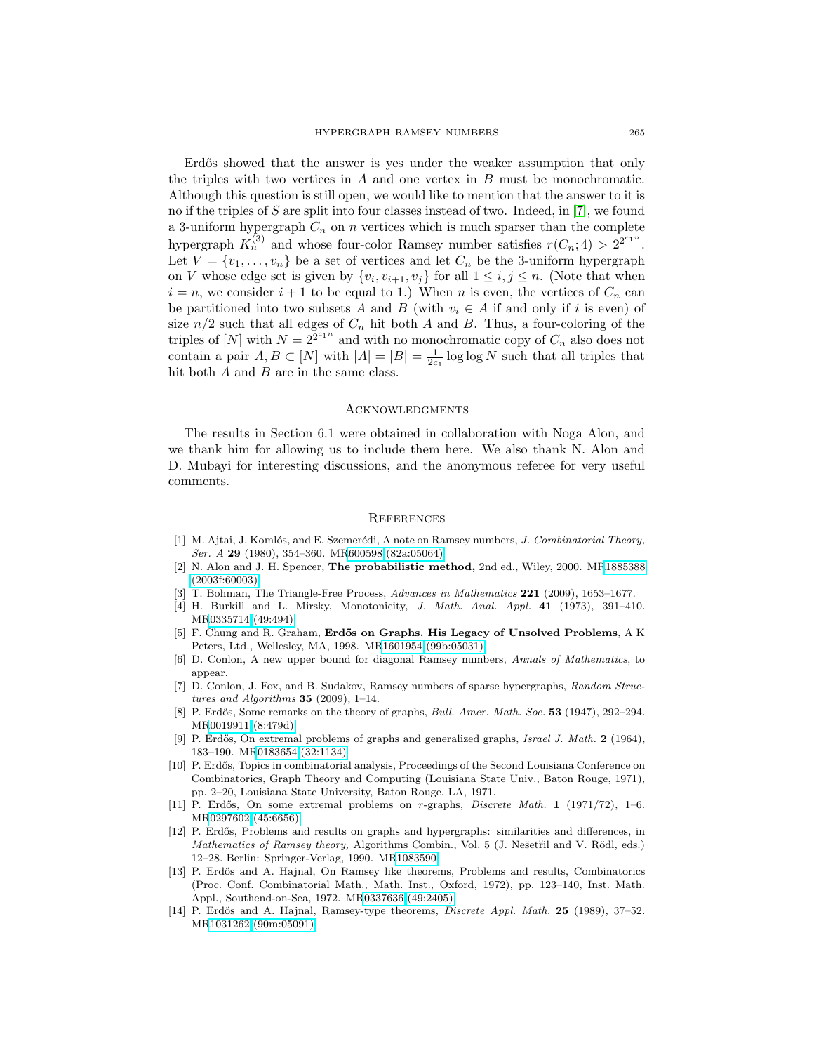Erdős showed that the answer is yes under the weaker assumption that only the triples with two vertices in  $A$  and one vertex in  $B$  must be monochromatic. Although this question is still open, we would like to mention that the answer to it is no if the triples of S are split into four classes instead of two. Indeed, in  $[7]$ , we found a 3-uniform hypergraph  $C_n$  on  $n$  vertices which is much sparser than the complete hypergraph  $K_n^{(3)}$  and whose four-color Ramsey number satisfies  $r(C_n; 4) > 2^{2^{c_1 n}}$ . Let  $V = \{v_1, \ldots, v_n\}$  be a set of vertices and let  $C_n$  be the 3-uniform hypergraph on V whose edge set is given by  $\{v_i, v_{i+1}, v_j\}$  for all  $1 \leq i, j \leq n$ . (Note that when  $i = n$ , we consider  $i + 1$  to be equal to 1.) When n is even, the vertices of  $C_n$  can be partitioned into two subsets A and B (with  $v_i \in A$  if and only if i is even) of size  $n/2$  such that all edges of  $C_n$  hit both A and B. Thus, a four-coloring of the triples of [N] with  $N = 2^{2^{c_1 n}}$  and with no monochromatic copy of  $C_n$  also does not contain a pair  $A, B \subset [N]$  with  $|A| = |B| = \frac{1}{2c_1} \log \log N$  such that all triples that hit both  $A$  and  $B$  are in the same class.

#### **ACKNOWLEDGMENTS**

The results in Section 6.1 were obtained in collaboration with Noga Alon, and we thank him for allowing us to include them here. We also thank N. Alon and D. Mubayi for interesting discussions, and the anonymous referee for very useful comments.

#### **REFERENCES**

- <span id="page-18-2"></span>[1] M. Ajtai, J. Komlós, and E. Szemerédi, A note on Ramsey numbers, *J. Combinatorial Theory*, Ser. A **29** (1980), 354–360. M[R600598 \(82a:05064\)](http://www.ams.org/mathscinet-getitem?mr=600598)
- <span id="page-18-8"></span>[2] N. Alon and J. H. Spencer, **The probabilistic method,** 2nd ed., Wiley, 2000. M[R1885388](http://www.ams.org/mathscinet-getitem?mr=1885388) [\(2003f:60003\)](http://www.ams.org/mathscinet-getitem?mr=1885388)
- <span id="page-18-4"></span><span id="page-18-3"></span>[3] T. Bohman, The Triangle-Free Process, Advances in Mathematics **221** (2009), 1653–1677.
- [4] H. Burkill and L. Mirsky, Monotonicity, J. Math. Anal. Appl. **41** (1973), 391–410. M[R0335714 \(49:494\)](http://www.ams.org/mathscinet-getitem?mr=0335714)
- <span id="page-18-6"></span>[5] F. Chung and R. Graham, **Erd˝os on Graphs. His Legacy of Unsolved Problems**,AK Peters, Ltd., Wellesley, MA, 1998. M[R1601954 \(99b:05031\)](http://www.ams.org/mathscinet-getitem?mr=1601954)
- <span id="page-18-1"></span>[6] D. Conlon, A new upper bound for diagonal Ramsey numbers, Annals of Mathematics, to appear.
- <span id="page-18-13"></span>[7] D. Conlon, J. Fox, and B. Sudakov, Ramsey numbers of sparse hypergraphs, Random Structures and Algorithms **35** (2009), 1–14.
- <span id="page-18-0"></span>[8] P. Erdős, Some remarks on the theory of graphs, *Bull. Amer. Math. Soc.* **53** (1947), 292–294. M[R0019911 \(8:479d\)](http://www.ams.org/mathscinet-getitem?mr=0019911)
- <span id="page-18-11"></span>[9] P. Erd˝os, On extremal problems of graphs and generalized graphs, Israel J. Math. **2** (1964), 183–190. M[R0183654 \(32:1134\)](http://www.ams.org/mathscinet-getitem?mr=0183654)
- <span id="page-18-12"></span>[10] P. Erdős, Topics in combinatorial analysis, Proceedings of the Second Louisiana Conference on Combinatorics, Graph Theory and Computing (Louisiana State Univ., Baton Rouge, 1971), pp. 2–20, Louisiana State University, Baton Rouge, LA, 1971.
- <span id="page-18-10"></span>[11] P. Erdős, On some extremal problems on r-graphs, *Discrete Math.* **1** (1971/72), 1-6. M[R0297602 \(45:6656\)](http://www.ams.org/mathscinet-getitem?mr=0297602)
- <span id="page-18-9"></span>[12] P. Erdős, Problems and results on graphs and hypergraphs: similarities and differences, in Mathematics of Ramsey theory, Algorithms Combin., Vol. 5 (J. Nešetřil and V. Rödl, eds.) 12–28. Berlin: Springer-Verlag, 1990. M[R1083590](http://www.ams.org/mathscinet-getitem?mr=1083590)
- <span id="page-18-7"></span>[13] P. Erdős and A. Hajnal, On Ramsey like theorems, Problems and results, Combinatorics (Proc. Conf. Combinatorial Math., Math. Inst., Oxford, 1972), pp. 123–140, Inst. Math. Appl., Southend-on-Sea, 1972. M[R0337636 \(49:2405\)](http://www.ams.org/mathscinet-getitem?mr=0337636)
- <span id="page-18-5"></span>[14] P. Erdős and A. Hajnal, Ramsey-type theorems, *Discrete Appl. Math.* **25** (1989), 37–52. M[R1031262 \(90m:05091\)](http://www.ams.org/mathscinet-getitem?mr=1031262)